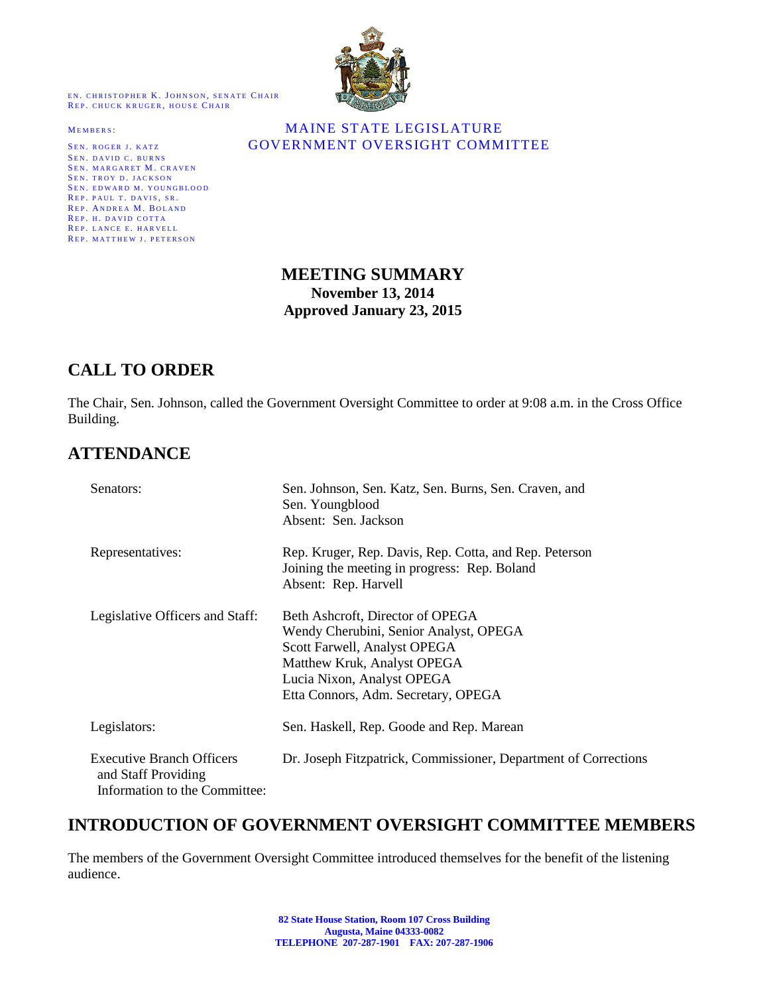EN. CHRISTOPHER K. JOHNSON, SENATE CHAIR REP. CHUCK KRUGER, HOUSE CHAIR

SEN. DAVID C. BURNS SEN. MARGARET M. CRAVEN SEN. TROY D. JACKSON SEN. EDWARD M. YOUNGBLOOD REP. PAUL T. DAVIS, SR. REP. ANDREA M. BOLAND REP. H. DAVID COTTA REP. LANCE E. HARVELL REP. MATTHEW J. PETERSON



#### MEMBERS: MAINE STATE LEGISLATURE SEN. ROGER J. KATZ **GOVERNMENT OVERSIGHT COMMITTEE**

### **MEETING SUMMARY November 13, 2014 Approved January 23, 2015**

# **CALL TO ORDER**

The Chair, Sen. Johnson, called the Government Oversight Committee to order at 9:08 a.m. in the Cross Office Building.

## **ATTENDANCE**

| Senators:                                                                                | Sen. Johnson, Sen. Katz, Sen. Burns, Sen. Craven, and<br>Sen. Youngblood<br>Absent: Sen. Jackson                                                                                                               |
|------------------------------------------------------------------------------------------|----------------------------------------------------------------------------------------------------------------------------------------------------------------------------------------------------------------|
| Representatives:                                                                         | Rep. Kruger, Rep. Davis, Rep. Cotta, and Rep. Peterson<br>Joining the meeting in progress: Rep. Boland<br>Absent: Rep. Harvell                                                                                 |
| Legislative Officers and Staff:                                                          | Beth Ashcroft, Director of OPEGA<br>Wendy Cherubini, Senior Analyst, OPEGA<br>Scott Farwell, Analyst OPEGA<br>Matthew Kruk, Analyst OPEGA<br>Lucia Nixon, Analyst OPEGA<br>Etta Connors, Adm. Secretary, OPEGA |
| Legislators:                                                                             | Sen. Haskell, Rep. Goode and Rep. Marean                                                                                                                                                                       |
| <b>Executive Branch Officers</b><br>and Staff Providing<br>Information to the Committee: | Dr. Joseph Fitzpatrick, Commissioner, Department of Corrections                                                                                                                                                |

## **INTRODUCTION OF GOVERNMENT OVERSIGHT COMMITTEE MEMBERS**

The members of the Government Oversight Committee introduced themselves for the benefit of the listening audience.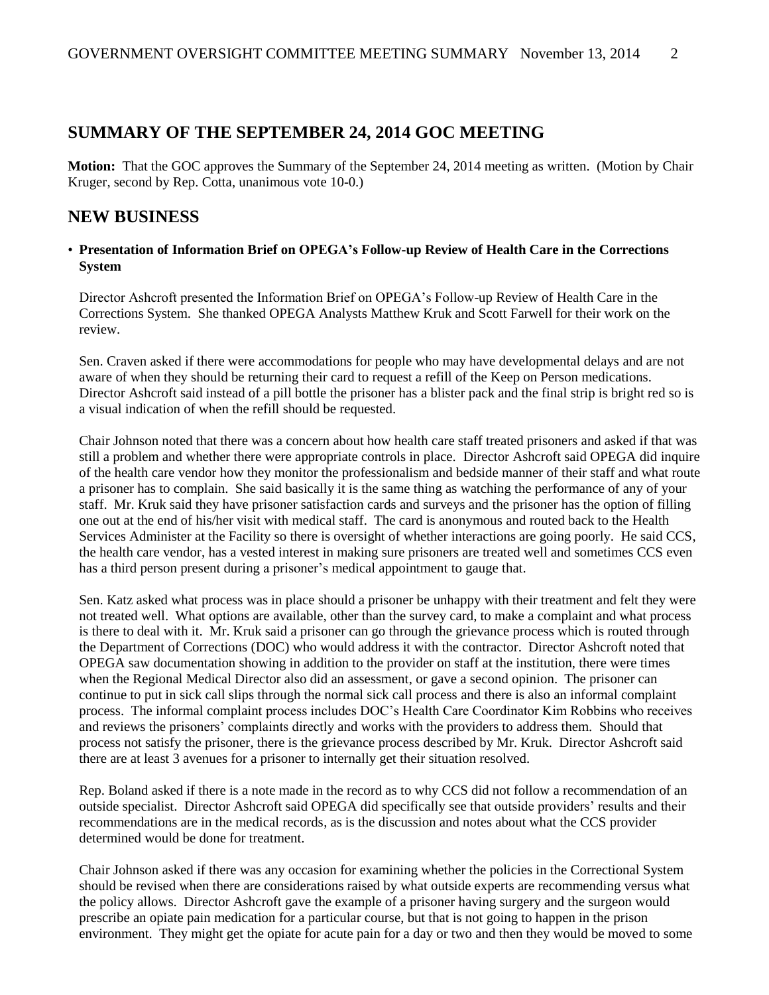## **SUMMARY OF THE SEPTEMBER 24, 2014 GOC MEETING**

**Motion:** That the GOC approves the Summary of the September 24, 2014 meeting as written. (Motion by Chair Kruger, second by Rep. Cotta, unanimous vote 10-0.)

### **NEW BUSINESS**

#### • **Presentation of Information Brief on OPEGA's Follow-up Review of Health Care in the Corrections System**

Director Ashcroft presented the Information Brief on OPEGA's Follow-up Review of Health Care in the Corrections System. She thanked OPEGA Analysts Matthew Kruk and Scott Farwell for their work on the review.

Sen. Craven asked if there were accommodations for people who may have developmental delays and are not aware of when they should be returning their card to request a refill of the Keep on Person medications. Director Ashcroft said instead of a pill bottle the prisoner has a blister pack and the final strip is bright red so is a visual indication of when the refill should be requested.

Chair Johnson noted that there was a concern about how health care staff treated prisoners and asked if that was still a problem and whether there were appropriate controls in place. Director Ashcroft said OPEGA did inquire of the health care vendor how they monitor the professionalism and bedside manner of their staff and what route a prisoner has to complain. She said basically it is the same thing as watching the performance of any of your staff. Mr. Kruk said they have prisoner satisfaction cards and surveys and the prisoner has the option of filling one out at the end of his/her visit with medical staff. The card is anonymous and routed back to the Health Services Administer at the Facility so there is oversight of whether interactions are going poorly. He said CCS, the health care vendor, has a vested interest in making sure prisoners are treated well and sometimes CCS even has a third person present during a prisoner's medical appointment to gauge that.

Sen. Katz asked what process was in place should a prisoner be unhappy with their treatment and felt they were not treated well. What options are available, other than the survey card, to make a complaint and what process is there to deal with it. Mr. Kruk said a prisoner can go through the grievance process which is routed through the Department of Corrections (DOC) who would address it with the contractor. Director Ashcroft noted that OPEGA saw documentation showing in addition to the provider on staff at the institution, there were times when the Regional Medical Director also did an assessment, or gave a second opinion. The prisoner can continue to put in sick call slips through the normal sick call process and there is also an informal complaint process. The informal complaint process includes DOC's Health Care Coordinator Kim Robbins who receives and reviews the prisoners' complaints directly and works with the providers to address them. Should that process not satisfy the prisoner, there is the grievance process described by Mr. Kruk. Director Ashcroft said there are at least 3 avenues for a prisoner to internally get their situation resolved.

Rep. Boland asked if there is a note made in the record as to why CCS did not follow a recommendation of an outside specialist. Director Ashcroft said OPEGA did specifically see that outside providers' results and their recommendations are in the medical records, as is the discussion and notes about what the CCS provider determined would be done for treatment.

Chair Johnson asked if there was any occasion for examining whether the policies in the Correctional System should be revised when there are considerations raised by what outside experts are recommending versus what the policy allows. Director Ashcroft gave the example of a prisoner having surgery and the surgeon would prescribe an opiate pain medication for a particular course, but that is not going to happen in the prison environment. They might get the opiate for acute pain for a day or two and then they would be moved to some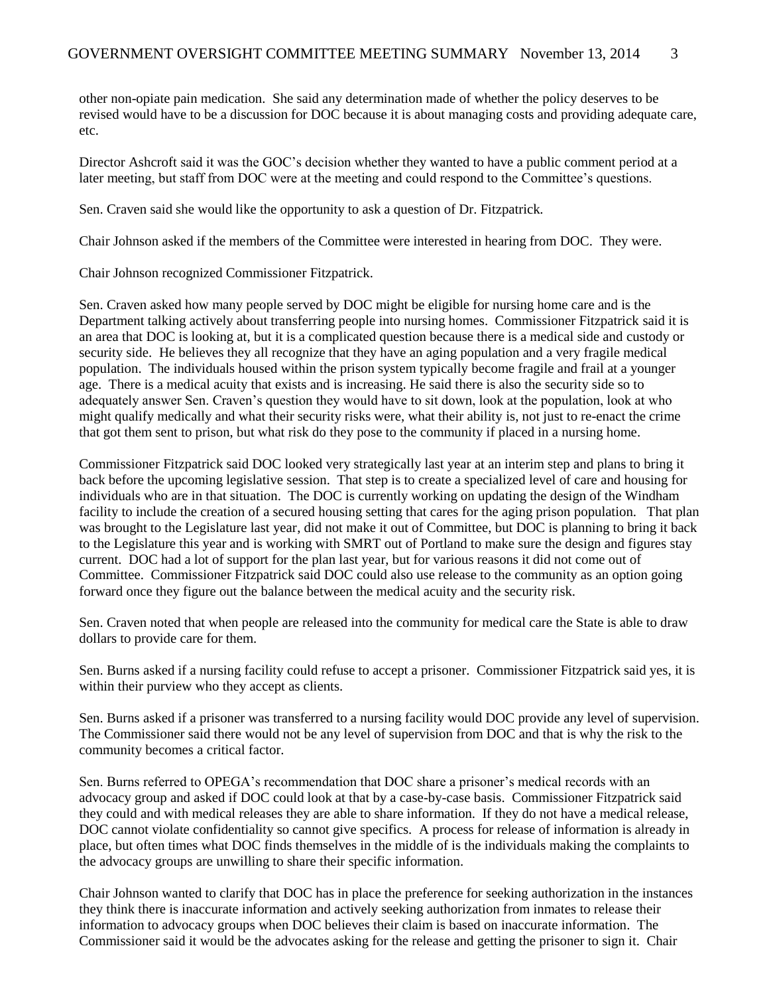other non-opiate pain medication. She said any determination made of whether the policy deserves to be revised would have to be a discussion for DOC because it is about managing costs and providing adequate care, etc.

Director Ashcroft said it was the GOC's decision whether they wanted to have a public comment period at a later meeting, but staff from DOC were at the meeting and could respond to the Committee's questions.

Sen. Craven said she would like the opportunity to ask a question of Dr. Fitzpatrick.

Chair Johnson asked if the members of the Committee were interested in hearing from DOC. They were.

Chair Johnson recognized Commissioner Fitzpatrick.

Sen. Craven asked how many people served by DOC might be eligible for nursing home care and is the Department talking actively about transferring people into nursing homes. Commissioner Fitzpatrick said it is an area that DOC is looking at, but it is a complicated question because there is a medical side and custody or security side. He believes they all recognize that they have an aging population and a very fragile medical population. The individuals housed within the prison system typically become fragile and frail at a younger age. There is a medical acuity that exists and is increasing. He said there is also the security side so to adequately answer Sen. Craven's question they would have to sit down, look at the population, look at who might qualify medically and what their security risks were, what their ability is, not just to re-enact the crime that got them sent to prison, but what risk do they pose to the community if placed in a nursing home.

Commissioner Fitzpatrick said DOC looked very strategically last year at an interim step and plans to bring it back before the upcoming legislative session. That step is to create a specialized level of care and housing for individuals who are in that situation. The DOC is currently working on updating the design of the Windham facility to include the creation of a secured housing setting that cares for the aging prison population. That plan was brought to the Legislature last year, did not make it out of Committee, but DOC is planning to bring it back to the Legislature this year and is working with SMRT out of Portland to make sure the design and figures stay current. DOC had a lot of support for the plan last year, but for various reasons it did not come out of Committee. Commissioner Fitzpatrick said DOC could also use release to the community as an option going forward once they figure out the balance between the medical acuity and the security risk.

Sen. Craven noted that when people are released into the community for medical care the State is able to draw dollars to provide care for them.

Sen. Burns asked if a nursing facility could refuse to accept a prisoner. Commissioner Fitzpatrick said yes, it is within their purview who they accept as clients.

Sen. Burns asked if a prisoner was transferred to a nursing facility would DOC provide any level of supervision. The Commissioner said there would not be any level of supervision from DOC and that is why the risk to the community becomes a critical factor.

Sen. Burns referred to OPEGA's recommendation that DOC share a prisoner's medical records with an advocacy group and asked if DOC could look at that by a case-by-case basis. Commissioner Fitzpatrick said they could and with medical releases they are able to share information. If they do not have a medical release, DOC cannot violate confidentiality so cannot give specifics. A process for release of information is already in place, but often times what DOC finds themselves in the middle of is the individuals making the complaints to the advocacy groups are unwilling to share their specific information.

Chair Johnson wanted to clarify that DOC has in place the preference for seeking authorization in the instances they think there is inaccurate information and actively seeking authorization from inmates to release their information to advocacy groups when DOC believes their claim is based on inaccurate information. The Commissioner said it would be the advocates asking for the release and getting the prisoner to sign it. Chair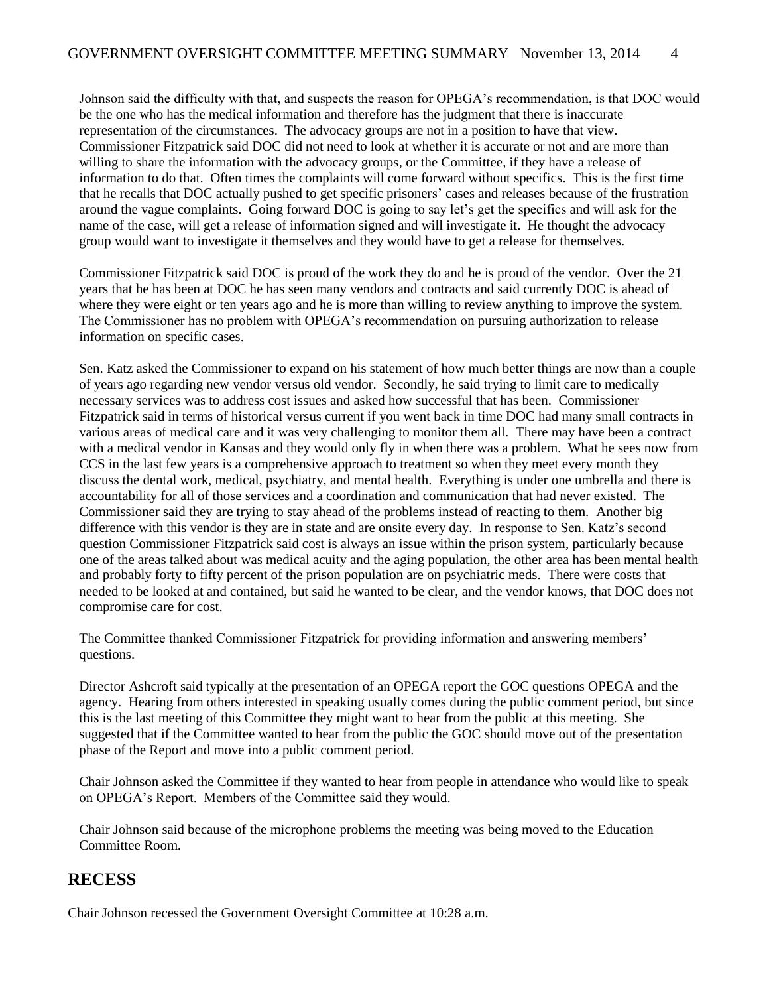Johnson said the difficulty with that, and suspects the reason for OPEGA's recommendation, is that DOC would be the one who has the medical information and therefore has the judgment that there is inaccurate representation of the circumstances. The advocacy groups are not in a position to have that view. Commissioner Fitzpatrick said DOC did not need to look at whether it is accurate or not and are more than willing to share the information with the advocacy groups, or the Committee, if they have a release of information to do that. Often times the complaints will come forward without specifics. This is the first time that he recalls that DOC actually pushed to get specific prisoners' cases and releases because of the frustration around the vague complaints. Going forward DOC is going to say let's get the specifics and will ask for the name of the case, will get a release of information signed and will investigate it. He thought the advocacy group would want to investigate it themselves and they would have to get a release for themselves.

Commissioner Fitzpatrick said DOC is proud of the work they do and he is proud of the vendor. Over the 21 years that he has been at DOC he has seen many vendors and contracts and said currently DOC is ahead of where they were eight or ten years ago and he is more than willing to review anything to improve the system. The Commissioner has no problem with OPEGA's recommendation on pursuing authorization to release information on specific cases.

Sen. Katz asked the Commissioner to expand on his statement of how much better things are now than a couple of years ago regarding new vendor versus old vendor. Secondly, he said trying to limit care to medically necessary services was to address cost issues and asked how successful that has been. Commissioner Fitzpatrick said in terms of historical versus current if you went back in time DOC had many small contracts in various areas of medical care and it was very challenging to monitor them all. There may have been a contract with a medical vendor in Kansas and they would only fly in when there was a problem. What he sees now from CCS in the last few years is a comprehensive approach to treatment so when they meet every month they discuss the dental work, medical, psychiatry, and mental health. Everything is under one umbrella and there is accountability for all of those services and a coordination and communication that had never existed. The Commissioner said they are trying to stay ahead of the problems instead of reacting to them. Another big difference with this vendor is they are in state and are onsite every day. In response to Sen. Katz's second question Commissioner Fitzpatrick said cost is always an issue within the prison system, particularly because one of the areas talked about was medical acuity and the aging population, the other area has been mental health and probably forty to fifty percent of the prison population are on psychiatric meds. There were costs that needed to be looked at and contained, but said he wanted to be clear, and the vendor knows, that DOC does not compromise care for cost.

The Committee thanked Commissioner Fitzpatrick for providing information and answering members' questions.

Director Ashcroft said typically at the presentation of an OPEGA report the GOC questions OPEGA and the agency. Hearing from others interested in speaking usually comes during the public comment period, but since this is the last meeting of this Committee they might want to hear from the public at this meeting. She suggested that if the Committee wanted to hear from the public the GOC should move out of the presentation phase of the Report and move into a public comment period.

Chair Johnson asked the Committee if they wanted to hear from people in attendance who would like to speak on OPEGA's Report. Members of the Committee said they would.

Chair Johnson said because of the microphone problems the meeting was being moved to the Education Committee Room.

### **RECESS**

Chair Johnson recessed the Government Oversight Committee at 10:28 a.m.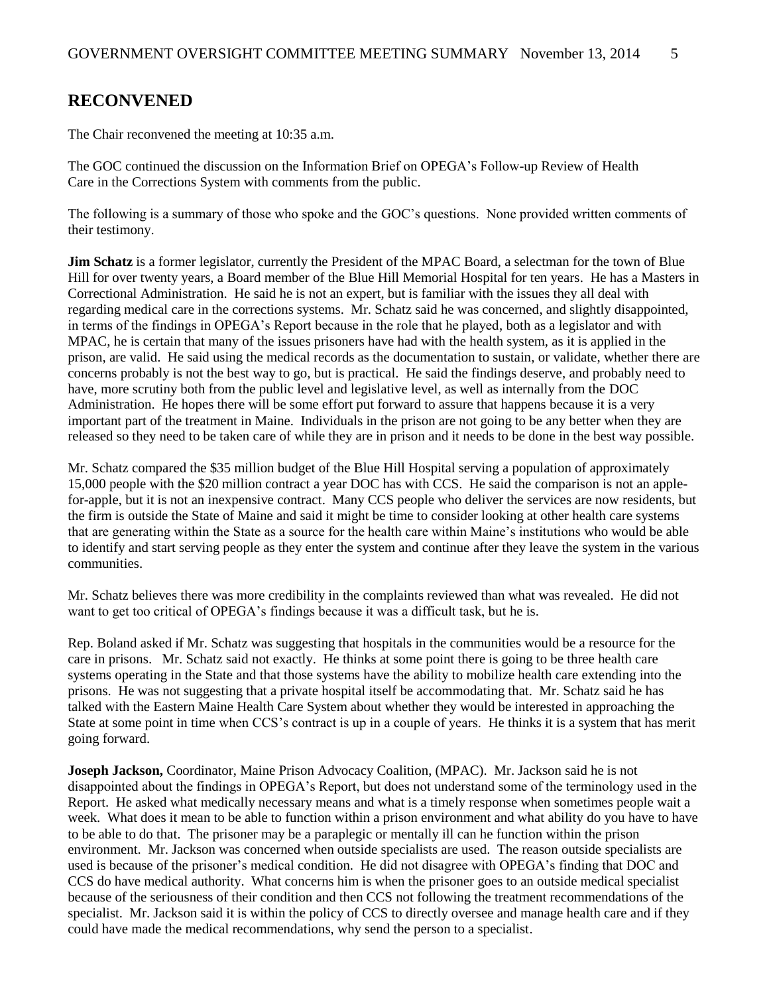### **RECONVENED**

The Chair reconvened the meeting at 10:35 a.m.

The GOC continued the discussion on the Information Brief on OPEGA's Follow-up Review of Health Care in the Corrections System with comments from the public.

The following is a summary of those who spoke and the GOC's questions. None provided written comments of their testimony.

**Jim Schatz** is a former legislator, currently the President of the MPAC Board, a selectman for the town of Blue Hill for over twenty years, a Board member of the Blue Hill Memorial Hospital for ten years. He has a Masters in Correctional Administration. He said he is not an expert, but is familiar with the issues they all deal with regarding medical care in the corrections systems. Mr. Schatz said he was concerned, and slightly disappointed, in terms of the findings in OPEGA's Report because in the role that he played, both as a legislator and with MPAC, he is certain that many of the issues prisoners have had with the health system, as it is applied in the prison, are valid. He said using the medical records as the documentation to sustain, or validate, whether there are concerns probably is not the best way to go, but is practical. He said the findings deserve, and probably need to have, more scrutiny both from the public level and legislative level, as well as internally from the DOC Administration. He hopes there will be some effort put forward to assure that happens because it is a very important part of the treatment in Maine. Individuals in the prison are not going to be any better when they are released so they need to be taken care of while they are in prison and it needs to be done in the best way possible.

Mr. Schatz compared the \$35 million budget of the Blue Hill Hospital serving a population of approximately 15,000 people with the \$20 million contract a year DOC has with CCS. He said the comparison is not an applefor-apple, but it is not an inexpensive contract. Many CCS people who deliver the services are now residents, but the firm is outside the State of Maine and said it might be time to consider looking at other health care systems that are generating within the State as a source for the health care within Maine's institutions who would be able to identify and start serving people as they enter the system and continue after they leave the system in the various communities.

Mr. Schatz believes there was more credibility in the complaints reviewed than what was revealed. He did not want to get too critical of OPEGA's findings because it was a difficult task, but he is.

Rep. Boland asked if Mr. Schatz was suggesting that hospitals in the communities would be a resource for the care in prisons. Mr. Schatz said not exactly. He thinks at some point there is going to be three health care systems operating in the State and that those systems have the ability to mobilize health care extending into the prisons. He was not suggesting that a private hospital itself be accommodating that. Mr. Schatz said he has talked with the Eastern Maine Health Care System about whether they would be interested in approaching the State at some point in time when CCS's contract is up in a couple of years. He thinks it is a system that has merit going forward.

**Joseph Jackson,** Coordinator, Maine Prison Advocacy Coalition, (MPAC). Mr. Jackson said he is not disappointed about the findings in OPEGA's Report, but does not understand some of the terminology used in the Report. He asked what medically necessary means and what is a timely response when sometimes people wait a week. What does it mean to be able to function within a prison environment and what ability do you have to have to be able to do that. The prisoner may be a paraplegic or mentally ill can he function within the prison environment. Mr. Jackson was concerned when outside specialists are used. The reason outside specialists are used is because of the prisoner's medical condition. He did not disagree with OPEGA's finding that DOC and CCS do have medical authority. What concerns him is when the prisoner goes to an outside medical specialist because of the seriousness of their condition and then CCS not following the treatment recommendations of the specialist. Mr. Jackson said it is within the policy of CCS to directly oversee and manage health care and if they could have made the medical recommendations, why send the person to a specialist.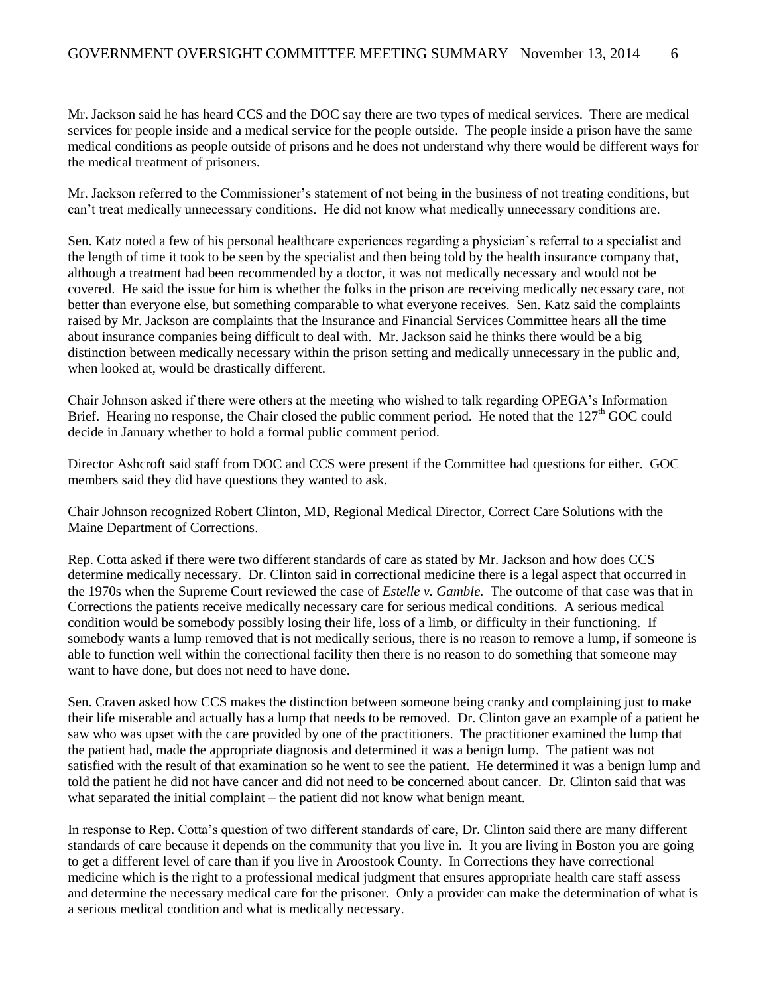Mr. Jackson said he has heard CCS and the DOC say there are two types of medical services. There are medical services for people inside and a medical service for the people outside. The people inside a prison have the same medical conditions as people outside of prisons and he does not understand why there would be different ways for the medical treatment of prisoners.

Mr. Jackson referred to the Commissioner's statement of not being in the business of not treating conditions, but can't treat medically unnecessary conditions. He did not know what medically unnecessary conditions are.

Sen. Katz noted a few of his personal healthcare experiences regarding a physician's referral to a specialist and the length of time it took to be seen by the specialist and then being told by the health insurance company that, although a treatment had been recommended by a doctor, it was not medically necessary and would not be covered. He said the issue for him is whether the folks in the prison are receiving medically necessary care, not better than everyone else, but something comparable to what everyone receives. Sen. Katz said the complaints raised by Mr. Jackson are complaints that the Insurance and Financial Services Committee hears all the time about insurance companies being difficult to deal with. Mr. Jackson said he thinks there would be a big distinction between medically necessary within the prison setting and medically unnecessary in the public and, when looked at, would be drastically different.

Chair Johnson asked if there were others at the meeting who wished to talk regarding OPEGA's Information Brief. Hearing no response, the Chair closed the public comment period. He noted that the 127<sup>th</sup> GOC could decide in January whether to hold a formal public comment period.

Director Ashcroft said staff from DOC and CCS were present if the Committee had questions for either. GOC members said they did have questions they wanted to ask.

Chair Johnson recognized Robert Clinton, MD, Regional Medical Director, Correct Care Solutions with the Maine Department of Corrections.

Rep. Cotta asked if there were two different standards of care as stated by Mr. Jackson and how does CCS determine medically necessary. Dr. Clinton said in correctional medicine there is a legal aspect that occurred in the 1970s when the Supreme Court reviewed the case of *Estelle v. Gamble.* The outcome of that case was that in Corrections the patients receive medically necessary care for serious medical conditions. A serious medical condition would be somebody possibly losing their life, loss of a limb, or difficulty in their functioning. If somebody wants a lump removed that is not medically serious, there is no reason to remove a lump, if someone is able to function well within the correctional facility then there is no reason to do something that someone may want to have done, but does not need to have done.

Sen. Craven asked how CCS makes the distinction between someone being cranky and complaining just to make their life miserable and actually has a lump that needs to be removed. Dr. Clinton gave an example of a patient he saw who was upset with the care provided by one of the practitioners. The practitioner examined the lump that the patient had, made the appropriate diagnosis and determined it was a benign lump. The patient was not satisfied with the result of that examination so he went to see the patient. He determined it was a benign lump and told the patient he did not have cancer and did not need to be concerned about cancer. Dr. Clinton said that was what separated the initial complaint – the patient did not know what benign meant.

In response to Rep. Cotta's question of two different standards of care, Dr. Clinton said there are many different standards of care because it depends on the community that you live in. It you are living in Boston you are going to get a different level of care than if you live in Aroostook County. In Corrections they have correctional medicine which is the right to a professional medical judgment that ensures appropriate health care staff assess and determine the necessary medical care for the prisoner. Only a provider can make the determination of what is a serious medical condition and what is medically necessary.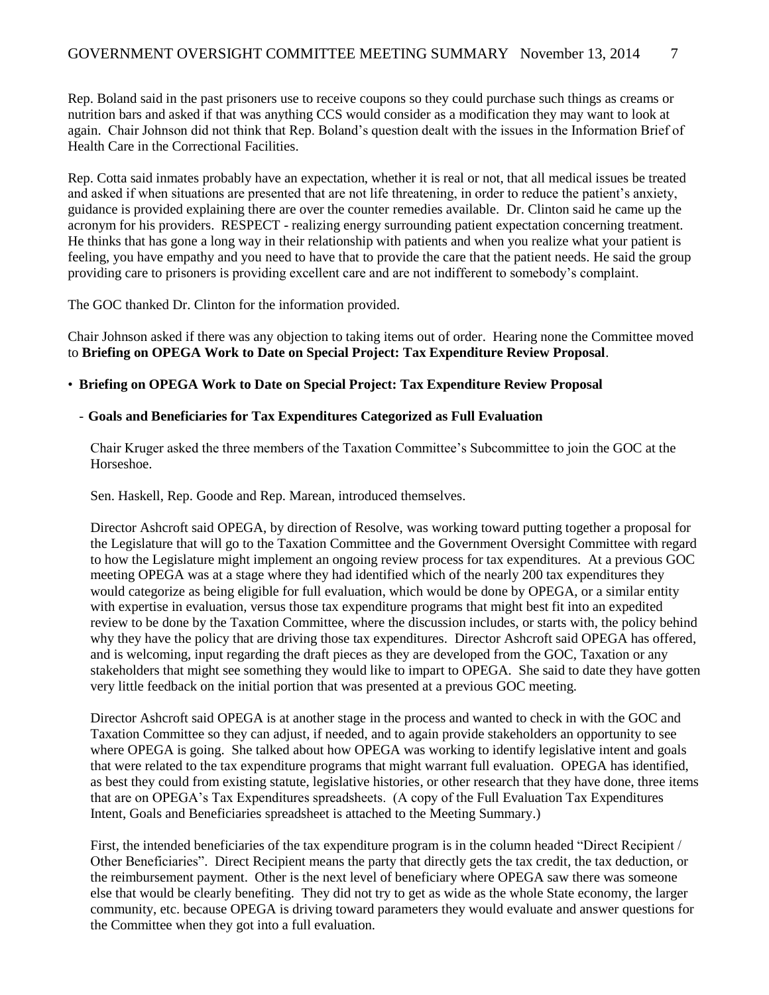Rep. Boland said in the past prisoners use to receive coupons so they could purchase such things as creams or nutrition bars and asked if that was anything CCS would consider as a modification they may want to look at again. Chair Johnson did not think that Rep. Boland's question dealt with the issues in the Information Brief of Health Care in the Correctional Facilities.

Rep. Cotta said inmates probably have an expectation, whether it is real or not, that all medical issues be treated and asked if when situations are presented that are not life threatening, in order to reduce the patient's anxiety, guidance is provided explaining there are over the counter remedies available. Dr. Clinton said he came up the acronym for his providers. RESPECT - realizing energy surrounding patient expectation concerning treatment. He thinks that has gone a long way in their relationship with patients and when you realize what your patient is feeling, you have empathy and you need to have that to provide the care that the patient needs. He said the group providing care to prisoners is providing excellent care and are not indifferent to somebody's complaint.

The GOC thanked Dr. Clinton for the information provided.

Chair Johnson asked if there was any objection to taking items out of order. Hearing none the Committee moved to **Briefing on OPEGA Work to Date on Special Project: Tax Expenditure Review Proposal**.

#### • **Briefing on OPEGA Work to Date on Special Project: Tax Expenditure Review Proposal**

#### - **Goals and Beneficiaries for Tax Expenditures Categorized as Full Evaluation**

Chair Kruger asked the three members of the Taxation Committee's Subcommittee to join the GOC at the Horseshoe.

Sen. Haskell, Rep. Goode and Rep. Marean, introduced themselves.

Director Ashcroft said OPEGA, by direction of Resolve, was working toward putting together a proposal for the Legislature that will go to the Taxation Committee and the Government Oversight Committee with regard to how the Legislature might implement an ongoing review process for tax expenditures. At a previous GOC meeting OPEGA was at a stage where they had identified which of the nearly 200 tax expenditures they would categorize as being eligible for full evaluation, which would be done by OPEGA, or a similar entity with expertise in evaluation, versus those tax expenditure programs that might best fit into an expedited review to be done by the Taxation Committee, where the discussion includes, or starts with, the policy behind why they have the policy that are driving those tax expenditures. Director Ashcroft said OPEGA has offered, and is welcoming, input regarding the draft pieces as they are developed from the GOC, Taxation or any stakeholders that might see something they would like to impart to OPEGA. She said to date they have gotten very little feedback on the initial portion that was presented at a previous GOC meeting.

Director Ashcroft said OPEGA is at another stage in the process and wanted to check in with the GOC and Taxation Committee so they can adjust, if needed, and to again provide stakeholders an opportunity to see where OPEGA is going. She talked about how OPEGA was working to identify legislative intent and goals that were related to the tax expenditure programs that might warrant full evaluation. OPEGA has identified, as best they could from existing statute, legislative histories, or other research that they have done, three items that are on OPEGA's Tax Expenditures spreadsheets. (A copy of the Full Evaluation Tax Expenditures Intent, Goals and Beneficiaries spreadsheet is attached to the Meeting Summary.)

First, the intended beneficiaries of the tax expenditure program is in the column headed "Direct Recipient / Other Beneficiaries". Direct Recipient means the party that directly gets the tax credit, the tax deduction, or the reimbursement payment. Other is the next level of beneficiary where OPEGA saw there was someone else that would be clearly benefiting. They did not try to get as wide as the whole State economy, the larger community, etc. because OPEGA is driving toward parameters they would evaluate and answer questions for the Committee when they got into a full evaluation.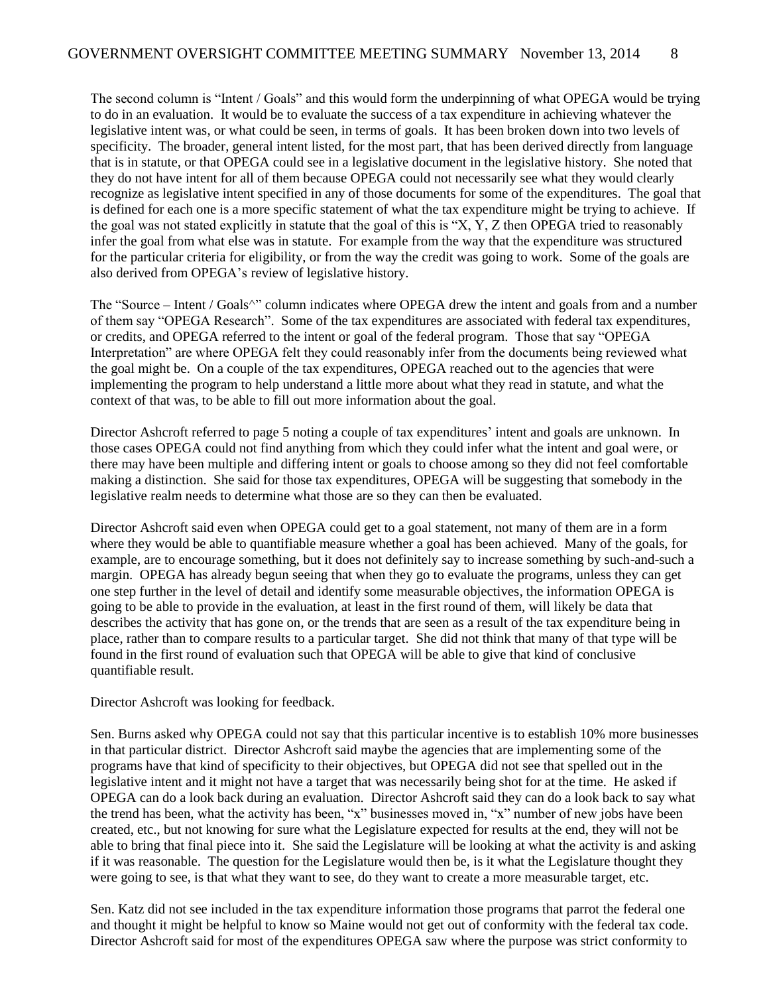The second column is "Intent / Goals" and this would form the underpinning of what OPEGA would be trying to do in an evaluation. It would be to evaluate the success of a tax expenditure in achieving whatever the legislative intent was, or what could be seen, in terms of goals. It has been broken down into two levels of specificity. The broader, general intent listed, for the most part, that has been derived directly from language that is in statute, or that OPEGA could see in a legislative document in the legislative history. She noted that they do not have intent for all of them because OPEGA could not necessarily see what they would clearly recognize as legislative intent specified in any of those documents for some of the expenditures. The goal that is defined for each one is a more specific statement of what the tax expenditure might be trying to achieve. If the goal was not stated explicitly in statute that the goal of this is "X, Y, Z then OPEGA tried to reasonably infer the goal from what else was in statute. For example from the way that the expenditure was structured for the particular criteria for eligibility, or from the way the credit was going to work. Some of the goals are also derived from OPEGA's review of legislative history.

The "Source – Intent / Goals<sup>^"</sup> column indicates where OPEGA drew the intent and goals from and a number of them say "OPEGA Research". Some of the tax expenditures are associated with federal tax expenditures, or credits, and OPEGA referred to the intent or goal of the federal program. Those that say "OPEGA Interpretation" are where OPEGA felt they could reasonably infer from the documents being reviewed what the goal might be. On a couple of the tax expenditures, OPEGA reached out to the agencies that were implementing the program to help understand a little more about what they read in statute, and what the context of that was, to be able to fill out more information about the goal.

Director Ashcroft referred to page 5 noting a couple of tax expenditures' intent and goals are unknown. In those cases OPEGA could not find anything from which they could infer what the intent and goal were, or there may have been multiple and differing intent or goals to choose among so they did not feel comfortable making a distinction. She said for those tax expenditures, OPEGA will be suggesting that somebody in the legislative realm needs to determine what those are so they can then be evaluated.

Director Ashcroft said even when OPEGA could get to a goal statement, not many of them are in a form where they would be able to quantifiable measure whether a goal has been achieved. Many of the goals, for example, are to encourage something, but it does not definitely say to increase something by such-and-such a margin. OPEGA has already begun seeing that when they go to evaluate the programs, unless they can get one step further in the level of detail and identify some measurable objectives, the information OPEGA is going to be able to provide in the evaluation, at least in the first round of them, will likely be data that describes the activity that has gone on, or the trends that are seen as a result of the tax expenditure being in place, rather than to compare results to a particular target. She did not think that many of that type will be found in the first round of evaluation such that OPEGA will be able to give that kind of conclusive quantifiable result.

Director Ashcroft was looking for feedback.

Sen. Burns asked why OPEGA could not say that this particular incentive is to establish 10% more businesses in that particular district. Director Ashcroft said maybe the agencies that are implementing some of the programs have that kind of specificity to their objectives, but OPEGA did not see that spelled out in the legislative intent and it might not have a target that was necessarily being shot for at the time. He asked if OPEGA can do a look back during an evaluation. Director Ashcroft said they can do a look back to say what the trend has been, what the activity has been, "x" businesses moved in, "x" number of new jobs have been created, etc., but not knowing for sure what the Legislature expected for results at the end, they will not be able to bring that final piece into it. She said the Legislature will be looking at what the activity is and asking if it was reasonable. The question for the Legislature would then be, is it what the Legislature thought they were going to see, is that what they want to see, do they want to create a more measurable target, etc.

Sen. Katz did not see included in the tax expenditure information those programs that parrot the federal one and thought it might be helpful to know so Maine would not get out of conformity with the federal tax code. Director Ashcroft said for most of the expenditures OPEGA saw where the purpose was strict conformity to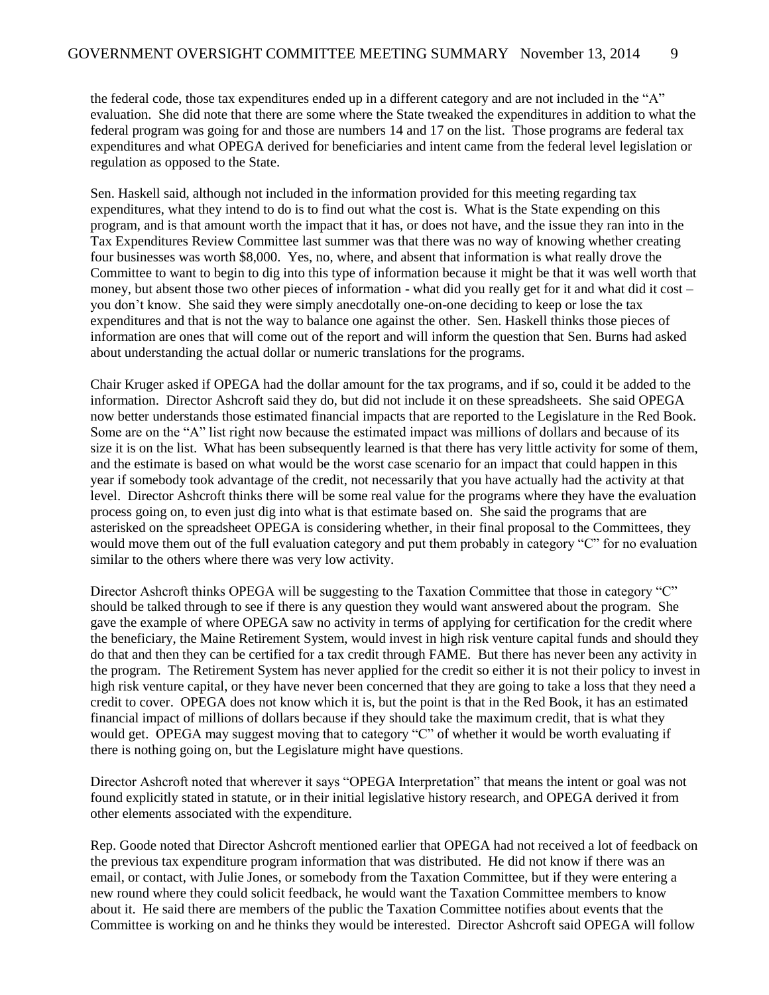the federal code, those tax expenditures ended up in a different category and are not included in the "A" evaluation. She did note that there are some where the State tweaked the expenditures in addition to what the federal program was going for and those are numbers 14 and 17 on the list. Those programs are federal tax expenditures and what OPEGA derived for beneficiaries and intent came from the federal level legislation or regulation as opposed to the State.

Sen. Haskell said, although not included in the information provided for this meeting regarding tax expenditures, what they intend to do is to find out what the cost is. What is the State expending on this program, and is that amount worth the impact that it has, or does not have, and the issue they ran into in the Tax Expenditures Review Committee last summer was that there was no way of knowing whether creating four businesses was worth \$8,000. Yes, no, where, and absent that information is what really drove the Committee to want to begin to dig into this type of information because it might be that it was well worth that money, but absent those two other pieces of information - what did you really get for it and what did it cost – you don't know. She said they were simply anecdotally one-on-one deciding to keep or lose the tax expenditures and that is not the way to balance one against the other. Sen. Haskell thinks those pieces of information are ones that will come out of the report and will inform the question that Sen. Burns had asked about understanding the actual dollar or numeric translations for the programs.

Chair Kruger asked if OPEGA had the dollar amount for the tax programs, and if so, could it be added to the information. Director Ashcroft said they do, but did not include it on these spreadsheets. She said OPEGA now better understands those estimated financial impacts that are reported to the Legislature in the Red Book. Some are on the "A" list right now because the estimated impact was millions of dollars and because of its size it is on the list. What has been subsequently learned is that there has very little activity for some of them, and the estimate is based on what would be the worst case scenario for an impact that could happen in this year if somebody took advantage of the credit, not necessarily that you have actually had the activity at that level. Director Ashcroft thinks there will be some real value for the programs where they have the evaluation process going on, to even just dig into what is that estimate based on. She said the programs that are asterisked on the spreadsheet OPEGA is considering whether, in their final proposal to the Committees, they would move them out of the full evaluation category and put them probably in category "C" for no evaluation similar to the others where there was very low activity.

Director Ashcroft thinks OPEGA will be suggesting to the Taxation Committee that those in category "C" should be talked through to see if there is any question they would want answered about the program. She gave the example of where OPEGA saw no activity in terms of applying for certification for the credit where the beneficiary, the Maine Retirement System, would invest in high risk venture capital funds and should they do that and then they can be certified for a tax credit through FAME. But there has never been any activity in the program. The Retirement System has never applied for the credit so either it is not their policy to invest in high risk venture capital, or they have never been concerned that they are going to take a loss that they need a credit to cover. OPEGA does not know which it is, but the point is that in the Red Book, it has an estimated financial impact of millions of dollars because if they should take the maximum credit, that is what they would get. OPEGA may suggest moving that to category "C" of whether it would be worth evaluating if there is nothing going on, but the Legislature might have questions.

Director Ashcroft noted that wherever it says "OPEGA Interpretation" that means the intent or goal was not found explicitly stated in statute, or in their initial legislative history research, and OPEGA derived it from other elements associated with the expenditure.

Rep. Goode noted that Director Ashcroft mentioned earlier that OPEGA had not received a lot of feedback on the previous tax expenditure program information that was distributed. He did not know if there was an email, or contact, with Julie Jones, or somebody from the Taxation Committee, but if they were entering a new round where they could solicit feedback, he would want the Taxation Committee members to know about it. He said there are members of the public the Taxation Committee notifies about events that the Committee is working on and he thinks they would be interested. Director Ashcroft said OPEGA will follow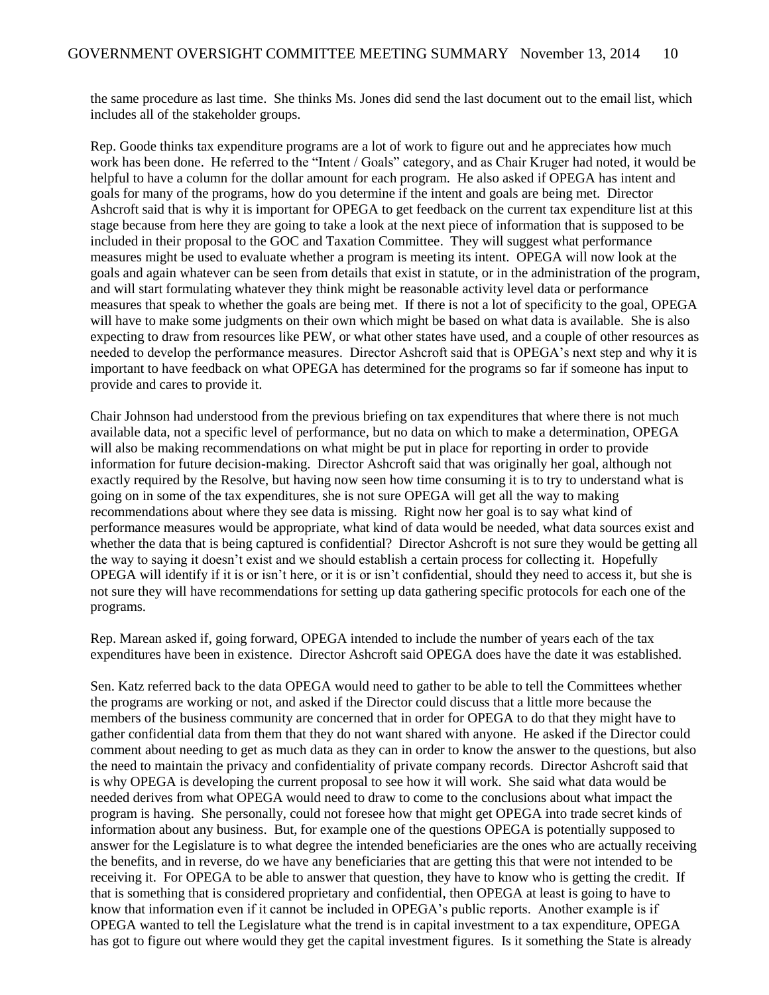the same procedure as last time. She thinks Ms. Jones did send the last document out to the email list, which includes all of the stakeholder groups.

Rep. Goode thinks tax expenditure programs are a lot of work to figure out and he appreciates how much work has been done. He referred to the "Intent / Goals" category, and as Chair Kruger had noted, it would be helpful to have a column for the dollar amount for each program. He also asked if OPEGA has intent and goals for many of the programs, how do you determine if the intent and goals are being met. Director Ashcroft said that is why it is important for OPEGA to get feedback on the current tax expenditure list at this stage because from here they are going to take a look at the next piece of information that is supposed to be included in their proposal to the GOC and Taxation Committee. They will suggest what performance measures might be used to evaluate whether a program is meeting its intent. OPEGA will now look at the goals and again whatever can be seen from details that exist in statute, or in the administration of the program, and will start formulating whatever they think might be reasonable activity level data or performance measures that speak to whether the goals are being met. If there is not a lot of specificity to the goal, OPEGA will have to make some judgments on their own which might be based on what data is available. She is also expecting to draw from resources like PEW, or what other states have used, and a couple of other resources as needed to develop the performance measures. Director Ashcroft said that is OPEGA's next step and why it is important to have feedback on what OPEGA has determined for the programs so far if someone has input to provide and cares to provide it.

Chair Johnson had understood from the previous briefing on tax expenditures that where there is not much available data, not a specific level of performance, but no data on which to make a determination, OPEGA will also be making recommendations on what might be put in place for reporting in order to provide information for future decision-making. Director Ashcroft said that was originally her goal, although not exactly required by the Resolve, but having now seen how time consuming it is to try to understand what is going on in some of the tax expenditures, she is not sure OPEGA will get all the way to making recommendations about where they see data is missing. Right now her goal is to say what kind of performance measures would be appropriate, what kind of data would be needed, what data sources exist and whether the data that is being captured is confidential? Director Ashcroft is not sure they would be getting all the way to saying it doesn't exist and we should establish a certain process for collecting it. Hopefully OPEGA will identify if it is or isn't here, or it is or isn't confidential, should they need to access it, but she is not sure they will have recommendations for setting up data gathering specific protocols for each one of the programs.

Rep. Marean asked if, going forward, OPEGA intended to include the number of years each of the tax expenditures have been in existence. Director Ashcroft said OPEGA does have the date it was established.

Sen. Katz referred back to the data OPEGA would need to gather to be able to tell the Committees whether the programs are working or not, and asked if the Director could discuss that a little more because the members of the business community are concerned that in order for OPEGA to do that they might have to gather confidential data from them that they do not want shared with anyone. He asked if the Director could comment about needing to get as much data as they can in order to know the answer to the questions, but also the need to maintain the privacy and confidentiality of private company records. Director Ashcroft said that is why OPEGA is developing the current proposal to see how it will work. She said what data would be needed derives from what OPEGA would need to draw to come to the conclusions about what impact the program is having. She personally, could not foresee how that might get OPEGA into trade secret kinds of information about any business. But, for example one of the questions OPEGA is potentially supposed to answer for the Legislature is to what degree the intended beneficiaries are the ones who are actually receiving the benefits, and in reverse, do we have any beneficiaries that are getting this that were not intended to be receiving it. For OPEGA to be able to answer that question, they have to know who is getting the credit. If that is something that is considered proprietary and confidential, then OPEGA at least is going to have to know that information even if it cannot be included in OPEGA's public reports. Another example is if OPEGA wanted to tell the Legislature what the trend is in capital investment to a tax expenditure, OPEGA has got to figure out where would they get the capital investment figures. Is it something the State is already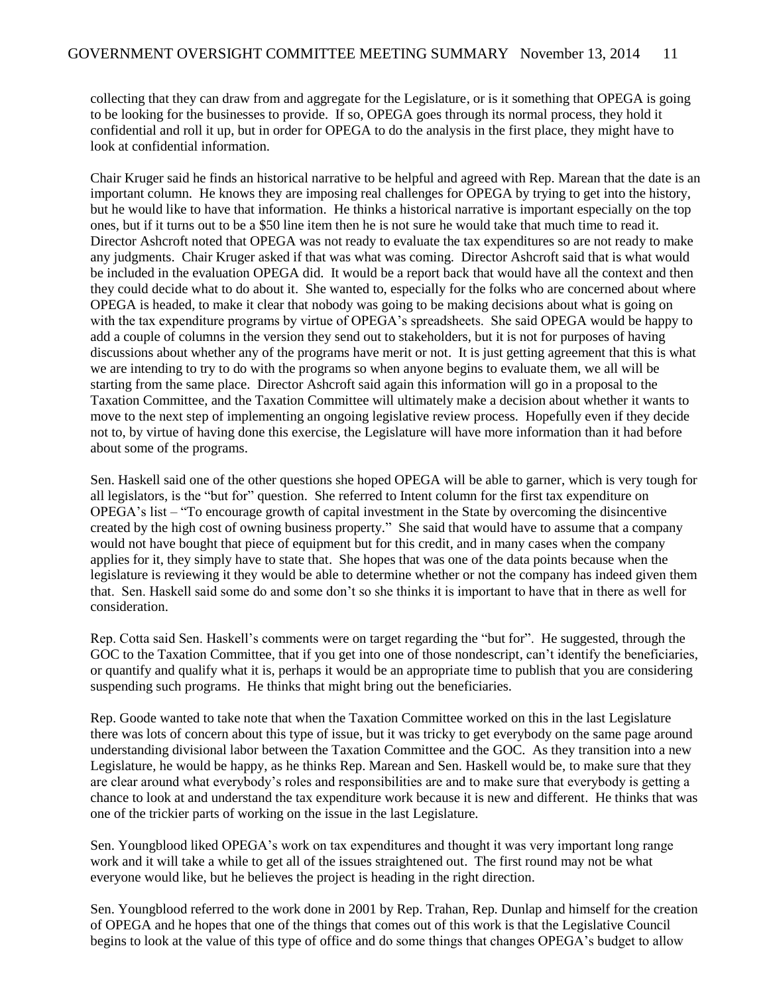collecting that they can draw from and aggregate for the Legislature, or is it something that OPEGA is going to be looking for the businesses to provide. If so, OPEGA goes through its normal process, they hold it confidential and roll it up, but in order for OPEGA to do the analysis in the first place, they might have to look at confidential information.

Chair Kruger said he finds an historical narrative to be helpful and agreed with Rep. Marean that the date is an important column. He knows they are imposing real challenges for OPEGA by trying to get into the history, but he would like to have that information. He thinks a historical narrative is important especially on the top ones, but if it turns out to be a \$50 line item then he is not sure he would take that much time to read it. Director Ashcroft noted that OPEGA was not ready to evaluate the tax expenditures so are not ready to make any judgments. Chair Kruger asked if that was what was coming. Director Ashcroft said that is what would be included in the evaluation OPEGA did. It would be a report back that would have all the context and then they could decide what to do about it. She wanted to, especially for the folks who are concerned about where OPEGA is headed, to make it clear that nobody was going to be making decisions about what is going on with the tax expenditure programs by virtue of OPEGA's spreadsheets. She said OPEGA would be happy to add a couple of columns in the version they send out to stakeholders, but it is not for purposes of having discussions about whether any of the programs have merit or not. It is just getting agreement that this is what we are intending to try to do with the programs so when anyone begins to evaluate them, we all will be starting from the same place. Director Ashcroft said again this information will go in a proposal to the Taxation Committee, and the Taxation Committee will ultimately make a decision about whether it wants to move to the next step of implementing an ongoing legislative review process. Hopefully even if they decide not to, by virtue of having done this exercise, the Legislature will have more information than it had before about some of the programs.

Sen. Haskell said one of the other questions she hoped OPEGA will be able to garner, which is very tough for all legislators, is the "but for" question. She referred to Intent column for the first tax expenditure on OPEGA's list – "To encourage growth of capital investment in the State by overcoming the disincentive created by the high cost of owning business property." She said that would have to assume that a company would not have bought that piece of equipment but for this credit, and in many cases when the company applies for it, they simply have to state that. She hopes that was one of the data points because when the legislature is reviewing it they would be able to determine whether or not the company has indeed given them that. Sen. Haskell said some do and some don't so she thinks it is important to have that in there as well for consideration.

Rep. Cotta said Sen. Haskell's comments were on target regarding the "but for". He suggested, through the GOC to the Taxation Committee, that if you get into one of those nondescript, can't identify the beneficiaries, or quantify and qualify what it is, perhaps it would be an appropriate time to publish that you are considering suspending such programs. He thinks that might bring out the beneficiaries.

Rep. Goode wanted to take note that when the Taxation Committee worked on this in the last Legislature there was lots of concern about this type of issue, but it was tricky to get everybody on the same page around understanding divisional labor between the Taxation Committee and the GOC. As they transition into a new Legislature, he would be happy, as he thinks Rep. Marean and Sen. Haskell would be, to make sure that they are clear around what everybody's roles and responsibilities are and to make sure that everybody is getting a chance to look at and understand the tax expenditure work because it is new and different. He thinks that was one of the trickier parts of working on the issue in the last Legislature.

Sen. Youngblood liked OPEGA's work on tax expenditures and thought it was very important long range work and it will take a while to get all of the issues straightened out. The first round may not be what everyone would like, but he believes the project is heading in the right direction.

Sen. Youngblood referred to the work done in 2001 by Rep. Trahan, Rep. Dunlap and himself for the creation of OPEGA and he hopes that one of the things that comes out of this work is that the Legislative Council begins to look at the value of this type of office and do some things that changes OPEGA's budget to allow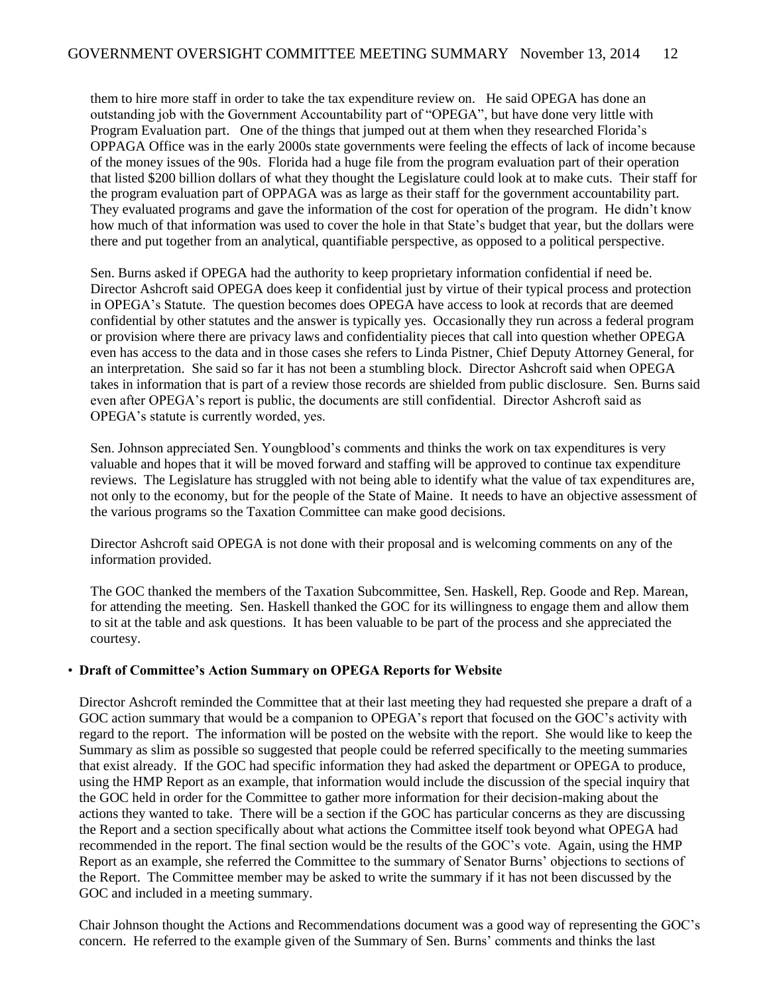them to hire more staff in order to take the tax expenditure review on. He said OPEGA has done an outstanding job with the Government Accountability part of "OPEGA", but have done very little with Program Evaluation part. One of the things that jumped out at them when they researched Florida's OPPAGA Office was in the early 2000s state governments were feeling the effects of lack of income because of the money issues of the 90s. Florida had a huge file from the program evaluation part of their operation that listed \$200 billion dollars of what they thought the Legislature could look at to make cuts. Their staff for the program evaluation part of OPPAGA was as large as their staff for the government accountability part. They evaluated programs and gave the information of the cost for operation of the program. He didn't know how much of that information was used to cover the hole in that State's budget that year, but the dollars were there and put together from an analytical, quantifiable perspective, as opposed to a political perspective.

Sen. Burns asked if OPEGA had the authority to keep proprietary information confidential if need be. Director Ashcroft said OPEGA does keep it confidential just by virtue of their typical process and protection in OPEGA's Statute. The question becomes does OPEGA have access to look at records that are deemed confidential by other statutes and the answer is typically yes. Occasionally they run across a federal program or provision where there are privacy laws and confidentiality pieces that call into question whether OPEGA even has access to the data and in those cases she refers to Linda Pistner, Chief Deputy Attorney General, for an interpretation. She said so far it has not been a stumbling block. Director Ashcroft said when OPEGA takes in information that is part of a review those records are shielded from public disclosure. Sen. Burns said even after OPEGA's report is public, the documents are still confidential. Director Ashcroft said as OPEGA's statute is currently worded, yes.

Sen. Johnson appreciated Sen. Youngblood's comments and thinks the work on tax expenditures is very valuable and hopes that it will be moved forward and staffing will be approved to continue tax expenditure reviews. The Legislature has struggled with not being able to identify what the value of tax expenditures are, not only to the economy, but for the people of the State of Maine. It needs to have an objective assessment of the various programs so the Taxation Committee can make good decisions.

Director Ashcroft said OPEGA is not done with their proposal and is welcoming comments on any of the information provided.

The GOC thanked the members of the Taxation Subcommittee, Sen. Haskell, Rep. Goode and Rep. Marean, for attending the meeting. Sen. Haskell thanked the GOC for its willingness to engage them and allow them to sit at the table and ask questions. It has been valuable to be part of the process and she appreciated the courtesy.

#### • **Draft of Committee's Action Summary on OPEGA Reports for Website**

Director Ashcroft reminded the Committee that at their last meeting they had requested she prepare a draft of a GOC action summary that would be a companion to OPEGA's report that focused on the GOC's activity with regard to the report. The information will be posted on the website with the report. She would like to keep the Summary as slim as possible so suggested that people could be referred specifically to the meeting summaries that exist already. If the GOC had specific information they had asked the department or OPEGA to produce, using the HMP Report as an example, that information would include the discussion of the special inquiry that the GOC held in order for the Committee to gather more information for their decision-making about the actions they wanted to take. There will be a section if the GOC has particular concerns as they are discussing the Report and a section specifically about what actions the Committee itself took beyond what OPEGA had recommended in the report. The final section would be the results of the GOC's vote. Again, using the HMP Report as an example, she referred the Committee to the summary of Senator Burns' objections to sections of the Report. The Committee member may be asked to write the summary if it has not been discussed by the GOC and included in a meeting summary.

Chair Johnson thought the Actions and Recommendations document was a good way of representing the GOC's concern. He referred to the example given of the Summary of Sen. Burns' comments and thinks the last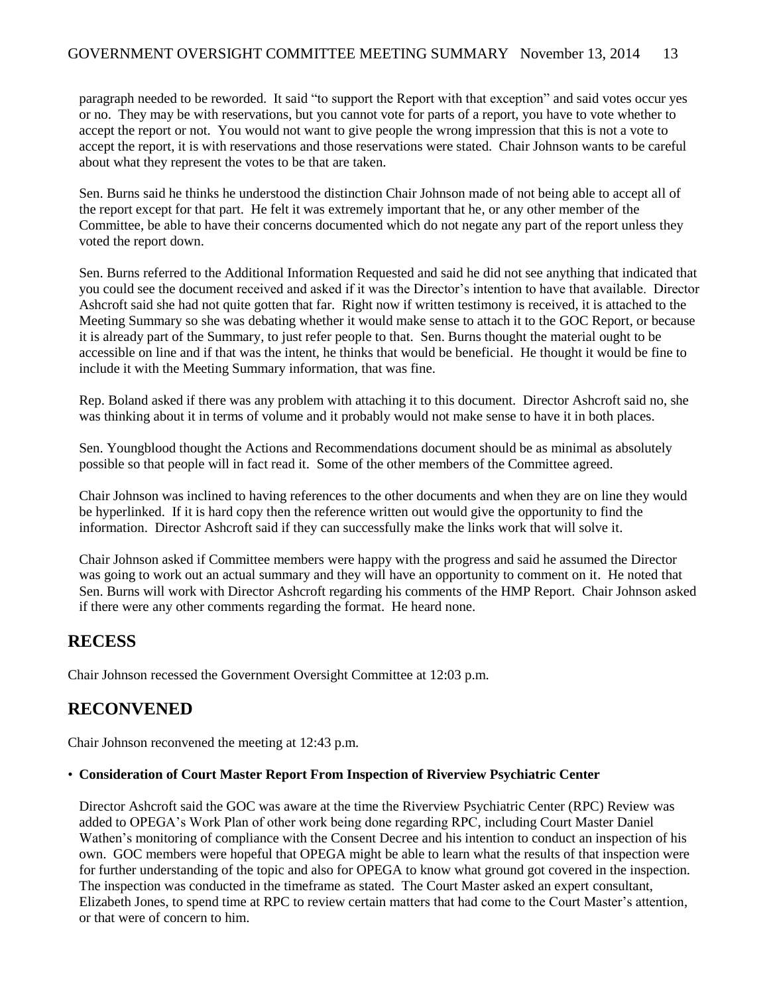paragraph needed to be reworded. It said "to support the Report with that exception" and said votes occur yes or no. They may be with reservations, but you cannot vote for parts of a report, you have to vote whether to accept the report or not. You would not want to give people the wrong impression that this is not a vote to accept the report, it is with reservations and those reservations were stated. Chair Johnson wants to be careful about what they represent the votes to be that are taken.

Sen. Burns said he thinks he understood the distinction Chair Johnson made of not being able to accept all of the report except for that part. He felt it was extremely important that he, or any other member of the Committee, be able to have their concerns documented which do not negate any part of the report unless they voted the report down.

Sen. Burns referred to the Additional Information Requested and said he did not see anything that indicated that you could see the document received and asked if it was the Director's intention to have that available. Director Ashcroft said she had not quite gotten that far. Right now if written testimony is received, it is attached to the Meeting Summary so she was debating whether it would make sense to attach it to the GOC Report, or because it is already part of the Summary, to just refer people to that. Sen. Burns thought the material ought to be accessible on line and if that was the intent, he thinks that would be beneficial. He thought it would be fine to include it with the Meeting Summary information, that was fine.

Rep. Boland asked if there was any problem with attaching it to this document. Director Ashcroft said no, she was thinking about it in terms of volume and it probably would not make sense to have it in both places.

Sen. Youngblood thought the Actions and Recommendations document should be as minimal as absolutely possible so that people will in fact read it. Some of the other members of the Committee agreed.

Chair Johnson was inclined to having references to the other documents and when they are on line they would be hyperlinked. If it is hard copy then the reference written out would give the opportunity to find the information. Director Ashcroft said if they can successfully make the links work that will solve it.

Chair Johnson asked if Committee members were happy with the progress and said he assumed the Director was going to work out an actual summary and they will have an opportunity to comment on it. He noted that Sen. Burns will work with Director Ashcroft regarding his comments of the HMP Report. Chair Johnson asked if there were any other comments regarding the format. He heard none.

## **RECESS**

Chair Johnson recessed the Government Oversight Committee at 12:03 p.m.

## **RECONVENED**

Chair Johnson reconvened the meeting at 12:43 p.m.

#### • **Consideration of Court Master Report From Inspection of Riverview Psychiatric Center**

Director Ashcroft said the GOC was aware at the time the Riverview Psychiatric Center (RPC) Review was added to OPEGA's Work Plan of other work being done regarding RPC, including Court Master Daniel Wathen's monitoring of compliance with the Consent Decree and his intention to conduct an inspection of his own. GOC members were hopeful that OPEGA might be able to learn what the results of that inspection were for further understanding of the topic and also for OPEGA to know what ground got covered in the inspection. The inspection was conducted in the timeframe as stated. The Court Master asked an expert consultant, Elizabeth Jones, to spend time at RPC to review certain matters that had come to the Court Master's attention, or that were of concern to him.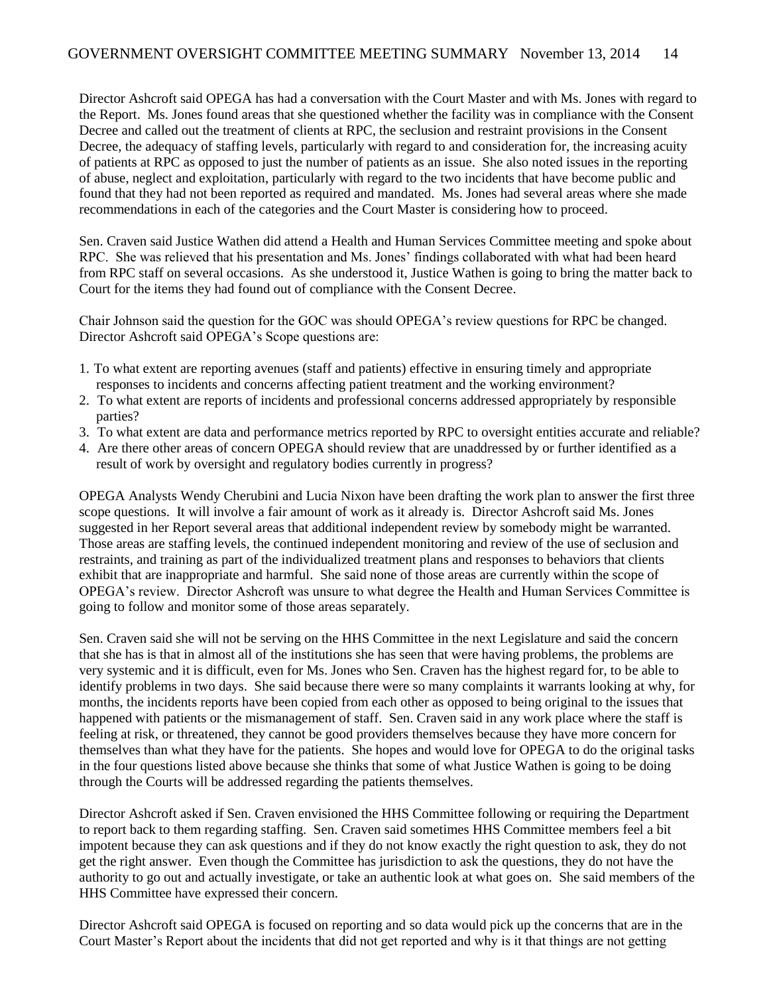Director Ashcroft said OPEGA has had a conversation with the Court Master and with Ms. Jones with regard to the Report. Ms. Jones found areas that she questioned whether the facility was in compliance with the Consent Decree and called out the treatment of clients at RPC, the seclusion and restraint provisions in the Consent Decree, the adequacy of staffing levels, particularly with regard to and consideration for, the increasing acuity of patients at RPC as opposed to just the number of patients as an issue. She also noted issues in the reporting of abuse, neglect and exploitation, particularly with regard to the two incidents that have become public and found that they had not been reported as required and mandated. Ms. Jones had several areas where she made recommendations in each of the categories and the Court Master is considering how to proceed.

Sen. Craven said Justice Wathen did attend a Health and Human Services Committee meeting and spoke about RPC. She was relieved that his presentation and Ms. Jones' findings collaborated with what had been heard from RPC staff on several occasions. As she understood it, Justice Wathen is going to bring the matter back to Court for the items they had found out of compliance with the Consent Decree.

Chair Johnson said the question for the GOC was should OPEGA's review questions for RPC be changed. Director Ashcroft said OPEGA's Scope questions are:

- 1. To what extent are reporting avenues (staff and patients) effective in ensuring timely and appropriate responses to incidents and concerns affecting patient treatment and the working environment?
- 2. To what extent are reports of incidents and professional concerns addressed appropriately by responsible parties?
- 3. To what extent are data and performance metrics reported by RPC to oversight entities accurate and reliable?
- 4. Are there other areas of concern OPEGA should review that are unaddressed by or further identified as a result of work by oversight and regulatory bodies currently in progress?

OPEGA Analysts Wendy Cherubini and Lucia Nixon have been drafting the work plan to answer the first three scope questions. It will involve a fair amount of work as it already is. Director Ashcroft said Ms. Jones suggested in her Report several areas that additional independent review by somebody might be warranted. Those areas are staffing levels, the continued independent monitoring and review of the use of seclusion and restraints, and training as part of the individualized treatment plans and responses to behaviors that clients exhibit that are inappropriate and harmful. She said none of those areas are currently within the scope of OPEGA's review. Director Ashcroft was unsure to what degree the Health and Human Services Committee is going to follow and monitor some of those areas separately.

Sen. Craven said she will not be serving on the HHS Committee in the next Legislature and said the concern that she has is that in almost all of the institutions she has seen that were having problems, the problems are very systemic and it is difficult, even for Ms. Jones who Sen. Craven has the highest regard for, to be able to identify problems in two days. She said because there were so many complaints it warrants looking at why, for months, the incidents reports have been copied from each other as opposed to being original to the issues that happened with patients or the mismanagement of staff. Sen. Craven said in any work place where the staff is feeling at risk, or threatened, they cannot be good providers themselves because they have more concern for themselves than what they have for the patients. She hopes and would love for OPEGA to do the original tasks in the four questions listed above because she thinks that some of what Justice Wathen is going to be doing through the Courts will be addressed regarding the patients themselves.

Director Ashcroft asked if Sen. Craven envisioned the HHS Committee following or requiring the Department to report back to them regarding staffing. Sen. Craven said sometimes HHS Committee members feel a bit impotent because they can ask questions and if they do not know exactly the right question to ask, they do not get the right answer. Even though the Committee has jurisdiction to ask the questions, they do not have the authority to go out and actually investigate, or take an authentic look at what goes on. She said members of the HHS Committee have expressed their concern.

Director Ashcroft said OPEGA is focused on reporting and so data would pick up the concerns that are in the Court Master's Report about the incidents that did not get reported and why is it that things are not getting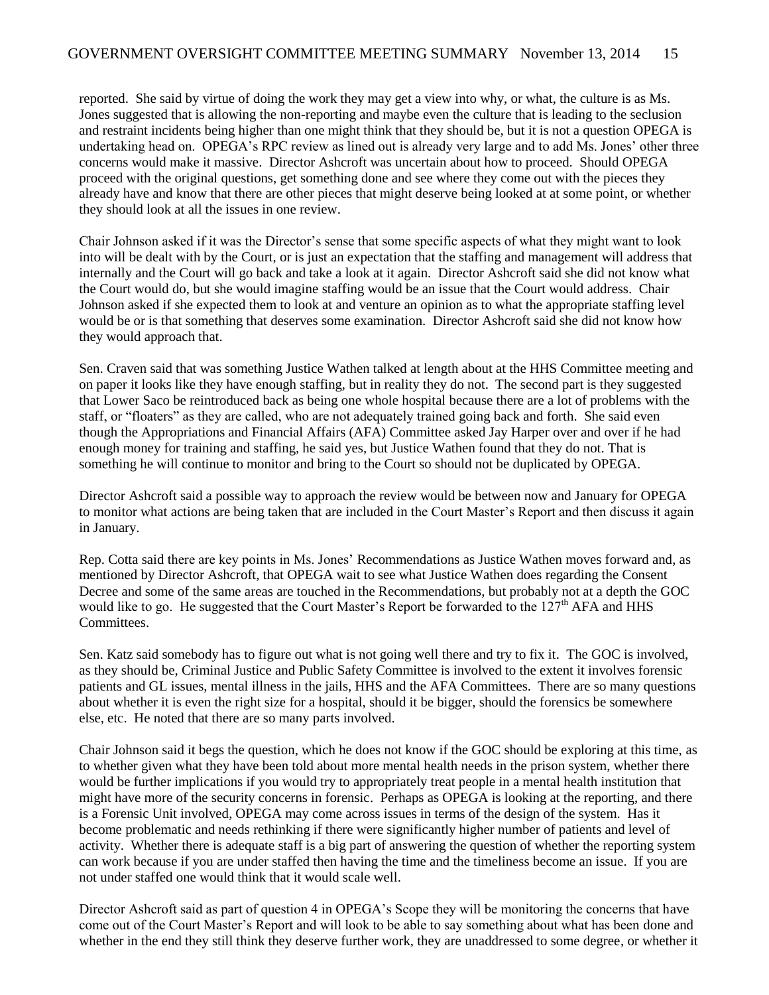reported. She said by virtue of doing the work they may get a view into why, or what, the culture is as Ms. Jones suggested that is allowing the non-reporting and maybe even the culture that is leading to the seclusion and restraint incidents being higher than one might think that they should be, but it is not a question OPEGA is undertaking head on. OPEGA's RPC review as lined out is already very large and to add Ms. Jones' other three concerns would make it massive. Director Ashcroft was uncertain about how to proceed. Should OPEGA proceed with the original questions, get something done and see where they come out with the pieces they already have and know that there are other pieces that might deserve being looked at at some point, or whether they should look at all the issues in one review.

Chair Johnson asked if it was the Director's sense that some specific aspects of what they might want to look into will be dealt with by the Court, or is just an expectation that the staffing and management will address that internally and the Court will go back and take a look at it again. Director Ashcroft said she did not know what the Court would do, but she would imagine staffing would be an issue that the Court would address. Chair Johnson asked if she expected them to look at and venture an opinion as to what the appropriate staffing level would be or is that something that deserves some examination. Director Ashcroft said she did not know how they would approach that.

Sen. Craven said that was something Justice Wathen talked at length about at the HHS Committee meeting and on paper it looks like they have enough staffing, but in reality they do not. The second part is they suggested that Lower Saco be reintroduced back as being one whole hospital because there are a lot of problems with the staff, or "floaters" as they are called, who are not adequately trained going back and forth. She said even though the Appropriations and Financial Affairs (AFA) Committee asked Jay Harper over and over if he had enough money for training and staffing, he said yes, but Justice Wathen found that they do not. That is something he will continue to monitor and bring to the Court so should not be duplicated by OPEGA.

Director Ashcroft said a possible way to approach the review would be between now and January for OPEGA to monitor what actions are being taken that are included in the Court Master's Report and then discuss it again in January.

Rep. Cotta said there are key points in Ms. Jones' Recommendations as Justice Wathen moves forward and, as mentioned by Director Ashcroft, that OPEGA wait to see what Justice Wathen does regarding the Consent Decree and some of the same areas are touched in the Recommendations, but probably not at a depth the GOC would like to go. He suggested that the Court Master's Report be forwarded to the  $127<sup>th</sup> AFA$  and HHS Committees.

Sen. Katz said somebody has to figure out what is not going well there and try to fix it. The GOC is involved, as they should be, Criminal Justice and Public Safety Committee is involved to the extent it involves forensic patients and GL issues, mental illness in the jails, HHS and the AFA Committees. There are so many questions about whether it is even the right size for a hospital, should it be bigger, should the forensics be somewhere else, etc. He noted that there are so many parts involved.

Chair Johnson said it begs the question, which he does not know if the GOC should be exploring at this time, as to whether given what they have been told about more mental health needs in the prison system, whether there would be further implications if you would try to appropriately treat people in a mental health institution that might have more of the security concerns in forensic. Perhaps as OPEGA is looking at the reporting, and there is a Forensic Unit involved, OPEGA may come across issues in terms of the design of the system. Has it become problematic and needs rethinking if there were significantly higher number of patients and level of activity. Whether there is adequate staff is a big part of answering the question of whether the reporting system can work because if you are under staffed then having the time and the timeliness become an issue. If you are not under staffed one would think that it would scale well.

Director Ashcroft said as part of question 4 in OPEGA's Scope they will be monitoring the concerns that have come out of the Court Master's Report and will look to be able to say something about what has been done and whether in the end they still think they deserve further work, they are unaddressed to some degree, or whether it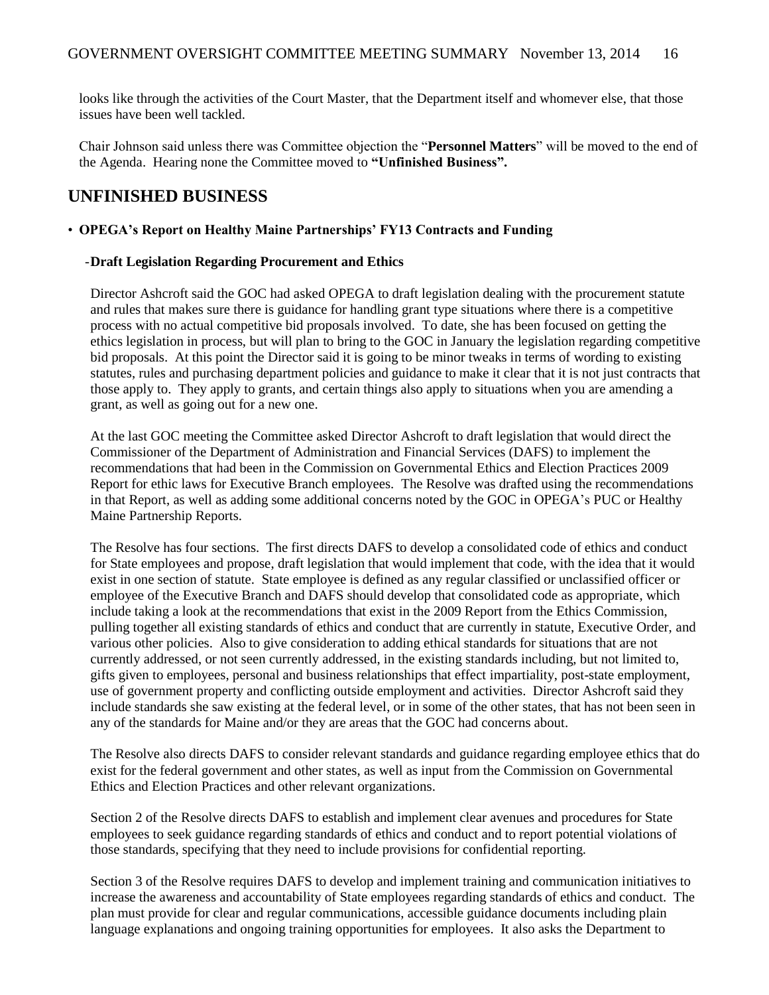looks like through the activities of the Court Master, that the Department itself and whomever else, that those issues have been well tackled.

Chair Johnson said unless there was Committee objection the "**Personnel Matters**" will be moved to the end of the Agenda. Hearing none the Committee moved to **"Unfinished Business".** 

### **UNFINISHED BUSINESS**

#### • **OPEGA's Report on Healthy Maine Partnerships' FY13 Contracts and Funding**

#### -**Draft Legislation Regarding Procurement and Ethics**

Director Ashcroft said the GOC had asked OPEGA to draft legislation dealing with the procurement statute and rules that makes sure there is guidance for handling grant type situations where there is a competitive process with no actual competitive bid proposals involved. To date, she has been focused on getting the ethics legislation in process, but will plan to bring to the GOC in January the legislation regarding competitive bid proposals. At this point the Director said it is going to be minor tweaks in terms of wording to existing statutes, rules and purchasing department policies and guidance to make it clear that it is not just contracts that those apply to. They apply to grants, and certain things also apply to situations when you are amending a grant, as well as going out for a new one.

At the last GOC meeting the Committee asked Director Ashcroft to draft legislation that would direct the Commissioner of the Department of Administration and Financial Services (DAFS) to implement the recommendations that had been in the Commission on Governmental Ethics and Election Practices 2009 Report for ethic laws for Executive Branch employees. The Resolve was drafted using the recommendations in that Report, as well as adding some additional concerns noted by the GOC in OPEGA's PUC or Healthy Maine Partnership Reports.

The Resolve has four sections. The first directs DAFS to develop a consolidated code of ethics and conduct for State employees and propose, draft legislation that would implement that code, with the idea that it would exist in one section of statute. State employee is defined as any regular classified or unclassified officer or employee of the Executive Branch and DAFS should develop that consolidated code as appropriate, which include taking a look at the recommendations that exist in the 2009 Report from the Ethics Commission, pulling together all existing standards of ethics and conduct that are currently in statute, Executive Order, and various other policies. Also to give consideration to adding ethical standards for situations that are not currently addressed, or not seen currently addressed, in the existing standards including, but not limited to, gifts given to employees, personal and business relationships that effect impartiality, post-state employment, use of government property and conflicting outside employment and activities. Director Ashcroft said they include standards she saw existing at the federal level, or in some of the other states, that has not been seen in any of the standards for Maine and/or they are areas that the GOC had concerns about.

The Resolve also directs DAFS to consider relevant standards and guidance regarding employee ethics that do exist for the federal government and other states, as well as input from the Commission on Governmental Ethics and Election Practices and other relevant organizations.

Section 2 of the Resolve directs DAFS to establish and implement clear avenues and procedures for State employees to seek guidance regarding standards of ethics and conduct and to report potential violations of those standards, specifying that they need to include provisions for confidential reporting.

Section 3 of the Resolve requires DAFS to develop and implement training and communication initiatives to increase the awareness and accountability of State employees regarding standards of ethics and conduct. The plan must provide for clear and regular communications, accessible guidance documents including plain language explanations and ongoing training opportunities for employees. It also asks the Department to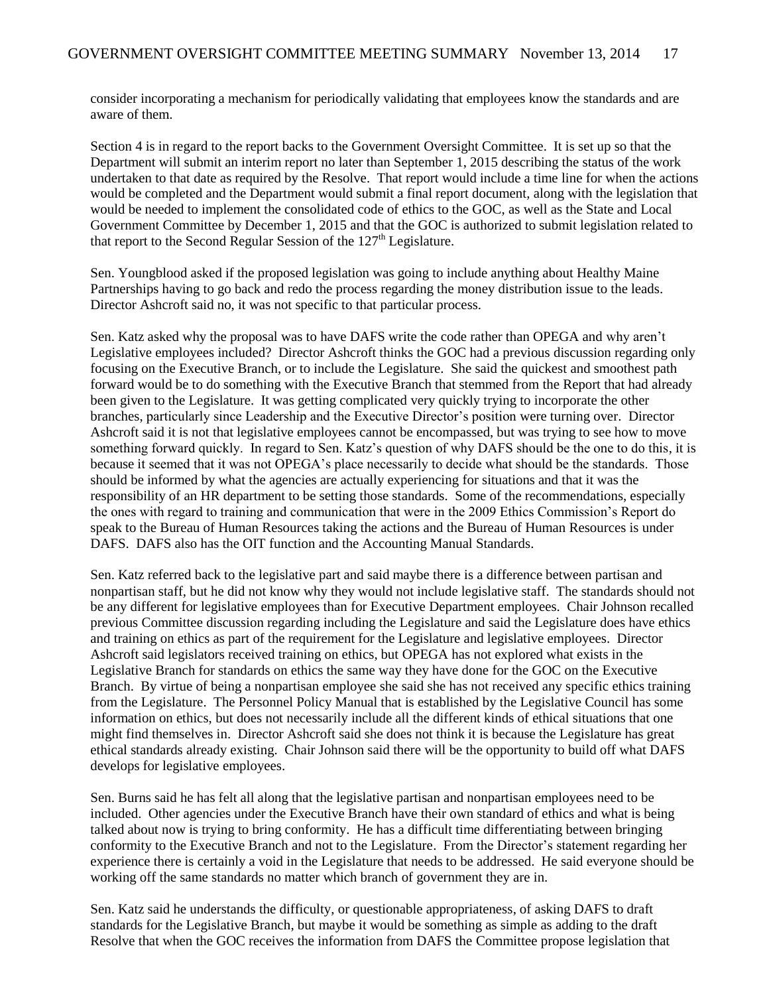consider incorporating a mechanism for periodically validating that employees know the standards and are aware of them.

Section 4 is in regard to the report backs to the Government Oversight Committee. It is set up so that the Department will submit an interim report no later than September 1, 2015 describing the status of the work undertaken to that date as required by the Resolve. That report would include a time line for when the actions would be completed and the Department would submit a final report document, along with the legislation that would be needed to implement the consolidated code of ethics to the GOC, as well as the State and Local Government Committee by December 1, 2015 and that the GOC is authorized to submit legislation related to that report to the Second Regular Session of the  $127<sup>th</sup>$  Legislature.

Sen. Youngblood asked if the proposed legislation was going to include anything about Healthy Maine Partnerships having to go back and redo the process regarding the money distribution issue to the leads. Director Ashcroft said no, it was not specific to that particular process.

Sen. Katz asked why the proposal was to have DAFS write the code rather than OPEGA and why aren't Legislative employees included? Director Ashcroft thinks the GOC had a previous discussion regarding only focusing on the Executive Branch, or to include the Legislature. She said the quickest and smoothest path forward would be to do something with the Executive Branch that stemmed from the Report that had already been given to the Legislature. It was getting complicated very quickly trying to incorporate the other branches, particularly since Leadership and the Executive Director's position were turning over. Director Ashcroft said it is not that legislative employees cannot be encompassed, but was trying to see how to move something forward quickly. In regard to Sen. Katz's question of why DAFS should be the one to do this, it is because it seemed that it was not OPEGA's place necessarily to decide what should be the standards. Those should be informed by what the agencies are actually experiencing for situations and that it was the responsibility of an HR department to be setting those standards. Some of the recommendations, especially the ones with regard to training and communication that were in the 2009 Ethics Commission's Report do speak to the Bureau of Human Resources taking the actions and the Bureau of Human Resources is under DAFS. DAFS also has the OIT function and the Accounting Manual Standards.

Sen. Katz referred back to the legislative part and said maybe there is a difference between partisan and nonpartisan staff, but he did not know why they would not include legislative staff. The standards should not be any different for legislative employees than for Executive Department employees. Chair Johnson recalled previous Committee discussion regarding including the Legislature and said the Legislature does have ethics and training on ethics as part of the requirement for the Legislature and legislative employees. Director Ashcroft said legislators received training on ethics, but OPEGA has not explored what exists in the Legislative Branch for standards on ethics the same way they have done for the GOC on the Executive Branch. By virtue of being a nonpartisan employee she said she has not received any specific ethics training from the Legislature. The Personnel Policy Manual that is established by the Legislative Council has some information on ethics, but does not necessarily include all the different kinds of ethical situations that one might find themselves in. Director Ashcroft said she does not think it is because the Legislature has great ethical standards already existing. Chair Johnson said there will be the opportunity to build off what DAFS develops for legislative employees.

Sen. Burns said he has felt all along that the legislative partisan and nonpartisan employees need to be included. Other agencies under the Executive Branch have their own standard of ethics and what is being talked about now is trying to bring conformity. He has a difficult time differentiating between bringing conformity to the Executive Branch and not to the Legislature. From the Director's statement regarding her experience there is certainly a void in the Legislature that needs to be addressed. He said everyone should be working off the same standards no matter which branch of government they are in.

Sen. Katz said he understands the difficulty, or questionable appropriateness, of asking DAFS to draft standards for the Legislative Branch, but maybe it would be something as simple as adding to the draft Resolve that when the GOC receives the information from DAFS the Committee propose legislation that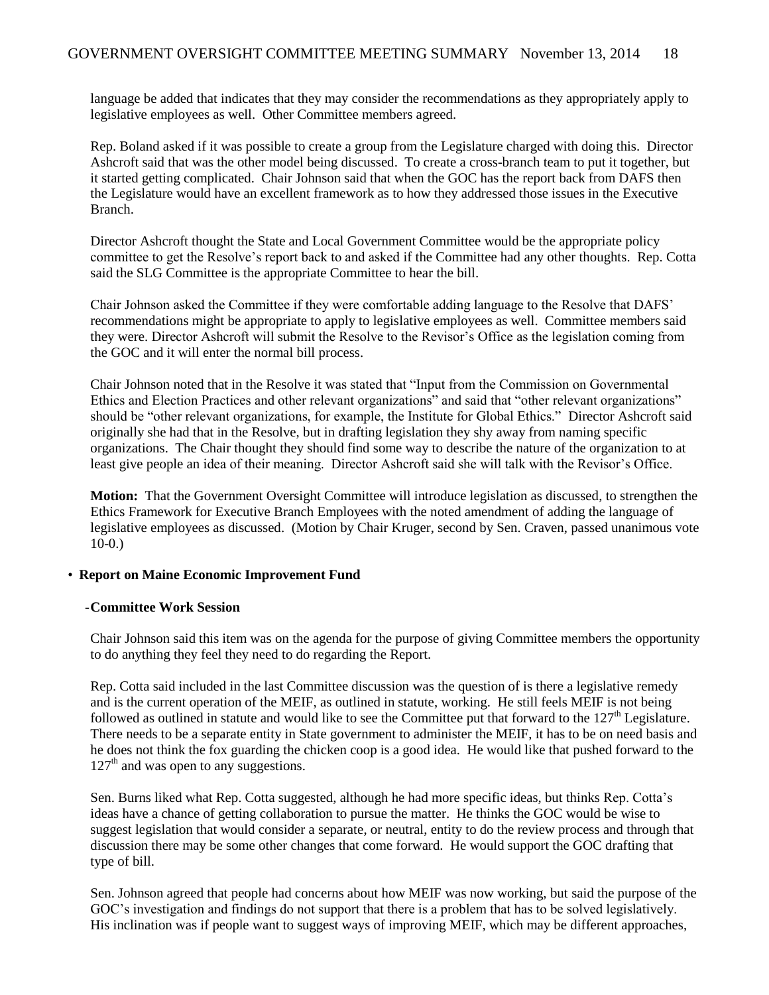language be added that indicates that they may consider the recommendations as they appropriately apply to legislative employees as well. Other Committee members agreed.

Rep. Boland asked if it was possible to create a group from the Legislature charged with doing this. Director Ashcroft said that was the other model being discussed. To create a cross-branch team to put it together, but it started getting complicated. Chair Johnson said that when the GOC has the report back from DAFS then the Legislature would have an excellent framework as to how they addressed those issues in the Executive Branch.

Director Ashcroft thought the State and Local Government Committee would be the appropriate policy committee to get the Resolve's report back to and asked if the Committee had any other thoughts. Rep. Cotta said the SLG Committee is the appropriate Committee to hear the bill.

Chair Johnson asked the Committee if they were comfortable adding language to the Resolve that DAFS' recommendations might be appropriate to apply to legislative employees as well. Committee members said they were. Director Ashcroft will submit the Resolve to the Revisor's Office as the legislation coming from the GOC and it will enter the normal bill process.

Chair Johnson noted that in the Resolve it was stated that "Input from the Commission on Governmental Ethics and Election Practices and other relevant organizations" and said that "other relevant organizations" should be "other relevant organizations, for example, the Institute for Global Ethics." Director Ashcroft said originally she had that in the Resolve, but in drafting legislation they shy away from naming specific organizations. The Chair thought they should find some way to describe the nature of the organization to at least give people an idea of their meaning. Director Ashcroft said she will talk with the Revisor's Office.

**Motion:** That the Government Oversight Committee will introduce legislation as discussed, to strengthen the Ethics Framework for Executive Branch Employees with the noted amendment of adding the language of legislative employees as discussed. (Motion by Chair Kruger, second by Sen. Craven, passed unanimous vote 10-0.)

#### • **Report on Maine Economic Improvement Fund**

#### -**Committee Work Session**

Chair Johnson said this item was on the agenda for the purpose of giving Committee members the opportunity to do anything they feel they need to do regarding the Report.

Rep. Cotta said included in the last Committee discussion was the question of is there a legislative remedy and is the current operation of the MEIF, as outlined in statute, working. He still feels MEIF is not being followed as outlined in statute and would like to see the Committee put that forward to the  $127<sup>th</sup>$  Legislature. There needs to be a separate entity in State government to administer the MEIF, it has to be on need basis and he does not think the fox guarding the chicken coop is a good idea. He would like that pushed forward to the  $127<sup>th</sup>$  and was open to any suggestions.

Sen. Burns liked what Rep. Cotta suggested, although he had more specific ideas, but thinks Rep. Cotta's ideas have a chance of getting collaboration to pursue the matter. He thinks the GOC would be wise to suggest legislation that would consider a separate, or neutral, entity to do the review process and through that discussion there may be some other changes that come forward. He would support the GOC drafting that type of bill.

Sen. Johnson agreed that people had concerns about how MEIF was now working, but said the purpose of the GOC's investigation and findings do not support that there is a problem that has to be solved legislatively. His inclination was if people want to suggest ways of improving MEIF, which may be different approaches,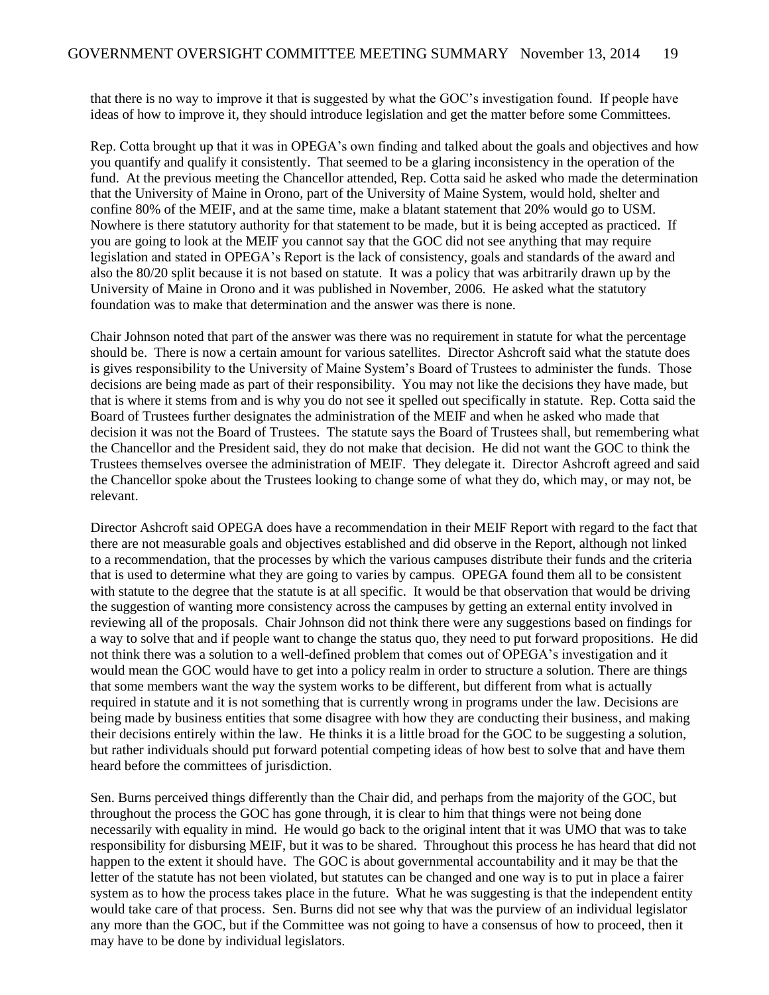that there is no way to improve it that is suggested by what the GOC's investigation found. If people have ideas of how to improve it, they should introduce legislation and get the matter before some Committees.

Rep. Cotta brought up that it was in OPEGA's own finding and talked about the goals and objectives and how you quantify and qualify it consistently. That seemed to be a glaring inconsistency in the operation of the fund. At the previous meeting the Chancellor attended, Rep. Cotta said he asked who made the determination that the University of Maine in Orono, part of the University of Maine System, would hold, shelter and confine 80% of the MEIF, and at the same time, make a blatant statement that 20% would go to USM. Nowhere is there statutory authority for that statement to be made, but it is being accepted as practiced. If you are going to look at the MEIF you cannot say that the GOC did not see anything that may require legislation and stated in OPEGA's Report is the lack of consistency, goals and standards of the award and also the 80/20 split because it is not based on statute. It was a policy that was arbitrarily drawn up by the University of Maine in Orono and it was published in November, 2006. He asked what the statutory foundation was to make that determination and the answer was there is none.

Chair Johnson noted that part of the answer was there was no requirement in statute for what the percentage should be. There is now a certain amount for various satellites. Director Ashcroft said what the statute does is gives responsibility to the University of Maine System's Board of Trustees to administer the funds. Those decisions are being made as part of their responsibility. You may not like the decisions they have made, but that is where it stems from and is why you do not see it spelled out specifically in statute. Rep. Cotta said the Board of Trustees further designates the administration of the MEIF and when he asked who made that decision it was not the Board of Trustees. The statute says the Board of Trustees shall, but remembering what the Chancellor and the President said, they do not make that decision. He did not want the GOC to think the Trustees themselves oversee the administration of MEIF. They delegate it. Director Ashcroft agreed and said the Chancellor spoke about the Trustees looking to change some of what they do, which may, or may not, be relevant.

Director Ashcroft said OPEGA does have a recommendation in their MEIF Report with regard to the fact that there are not measurable goals and objectives established and did observe in the Report, although not linked to a recommendation, that the processes by which the various campuses distribute their funds and the criteria that is used to determine what they are going to varies by campus. OPEGA found them all to be consistent with statute to the degree that the statute is at all specific. It would be that observation that would be driving the suggestion of wanting more consistency across the campuses by getting an external entity involved in reviewing all of the proposals. Chair Johnson did not think there were any suggestions based on findings for a way to solve that and if people want to change the status quo, they need to put forward propositions. He did not think there was a solution to a well-defined problem that comes out of OPEGA's investigation and it would mean the GOC would have to get into a policy realm in order to structure a solution. There are things that some members want the way the system works to be different, but different from what is actually required in statute and it is not something that is currently wrong in programs under the law. Decisions are being made by business entities that some disagree with how they are conducting their business, and making their decisions entirely within the law. He thinks it is a little broad for the GOC to be suggesting a solution, but rather individuals should put forward potential competing ideas of how best to solve that and have them heard before the committees of jurisdiction.

Sen. Burns perceived things differently than the Chair did, and perhaps from the majority of the GOC, but throughout the process the GOC has gone through, it is clear to him that things were not being done necessarily with equality in mind. He would go back to the original intent that it was UMO that was to take responsibility for disbursing MEIF, but it was to be shared. Throughout this process he has heard that did not happen to the extent it should have. The GOC is about governmental accountability and it may be that the letter of the statute has not been violated, but statutes can be changed and one way is to put in place a fairer system as to how the process takes place in the future. What he was suggesting is that the independent entity would take care of that process. Sen. Burns did not see why that was the purview of an individual legislator any more than the GOC, but if the Committee was not going to have a consensus of how to proceed, then it may have to be done by individual legislators.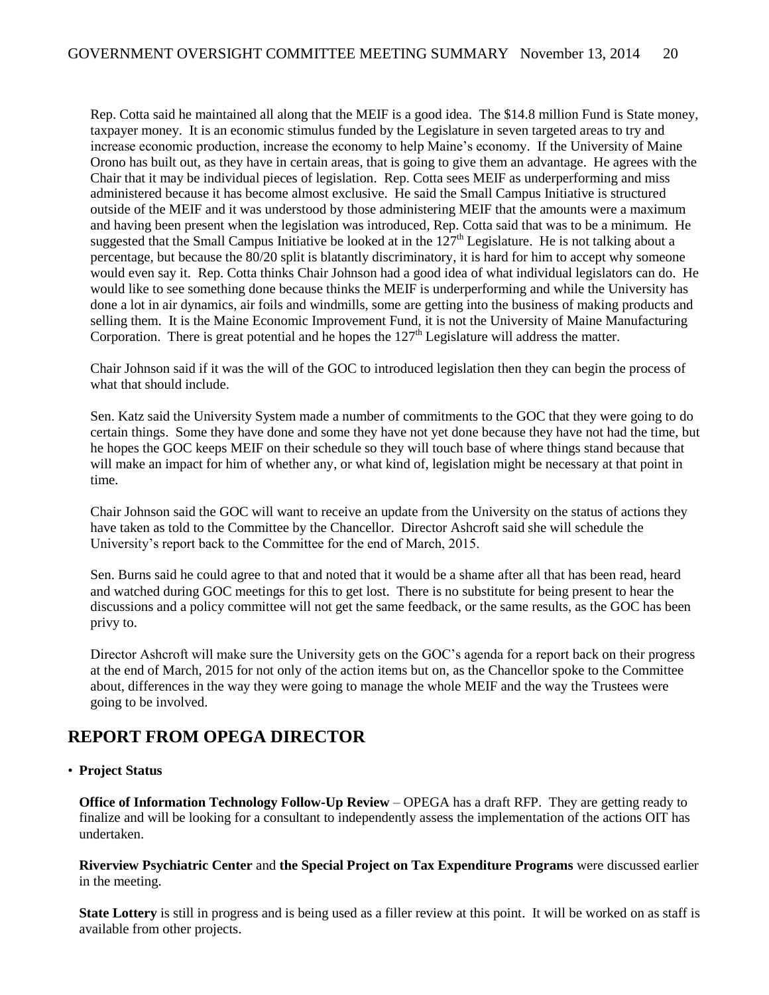Rep. Cotta said he maintained all along that the MEIF is a good idea. The \$14.8 million Fund is State money, taxpayer money. It is an economic stimulus funded by the Legislature in seven targeted areas to try and increase economic production, increase the economy to help Maine's economy. If the University of Maine Orono has built out, as they have in certain areas, that is going to give them an advantage. He agrees with the Chair that it may be individual pieces of legislation. Rep. Cotta sees MEIF as underperforming and miss administered because it has become almost exclusive. He said the Small Campus Initiative is structured outside of the MEIF and it was understood by those administering MEIF that the amounts were a maximum and having been present when the legislation was introduced, Rep. Cotta said that was to be a minimum. He suggested that the Small Campus Initiative be looked at in the  $127<sup>th</sup>$  Legislature. He is not talking about a percentage, but because the 80/20 split is blatantly discriminatory, it is hard for him to accept why someone would even say it. Rep. Cotta thinks Chair Johnson had a good idea of what individual legislators can do. He would like to see something done because thinks the MEIF is underperforming and while the University has done a lot in air dynamics, air foils and windmills, some are getting into the business of making products and selling them. It is the Maine Economic Improvement Fund, it is not the University of Maine Manufacturing Corporation. There is great potential and he hopes the  $127<sup>th</sup>$  Legislature will address the matter.

Chair Johnson said if it was the will of the GOC to introduced legislation then they can begin the process of what that should include.

Sen. Katz said the University System made a number of commitments to the GOC that they were going to do certain things. Some they have done and some they have not yet done because they have not had the time, but he hopes the GOC keeps MEIF on their schedule so they will touch base of where things stand because that will make an impact for him of whether any, or what kind of, legislation might be necessary at that point in time.

Chair Johnson said the GOC will want to receive an update from the University on the status of actions they have taken as told to the Committee by the Chancellor. Director Ashcroft said she will schedule the University's report back to the Committee for the end of March, 2015.

Sen. Burns said he could agree to that and noted that it would be a shame after all that has been read, heard and watched during GOC meetings for this to get lost. There is no substitute for being present to hear the discussions and a policy committee will not get the same feedback, or the same results, as the GOC has been privy to.

Director Ashcroft will make sure the University gets on the GOC's agenda for a report back on their progress at the end of March, 2015 for not only of the action items but on, as the Chancellor spoke to the Committee about, differences in the way they were going to manage the whole MEIF and the way the Trustees were going to be involved.

## **REPORT FROM OPEGA DIRECTOR**

#### • **Project Status**

**Office of Information Technology Follow-Up Review** – OPEGA has a draft RFP. They are getting ready to finalize and will be looking for a consultant to independently assess the implementation of the actions OIT has undertaken.

**Riverview Psychiatric Center** and **the Special Project on Tax Expenditure Programs** were discussed earlier in the meeting.

**State Lottery** is still in progress and is being used as a filler review at this point. It will be worked on as staff is available from other projects.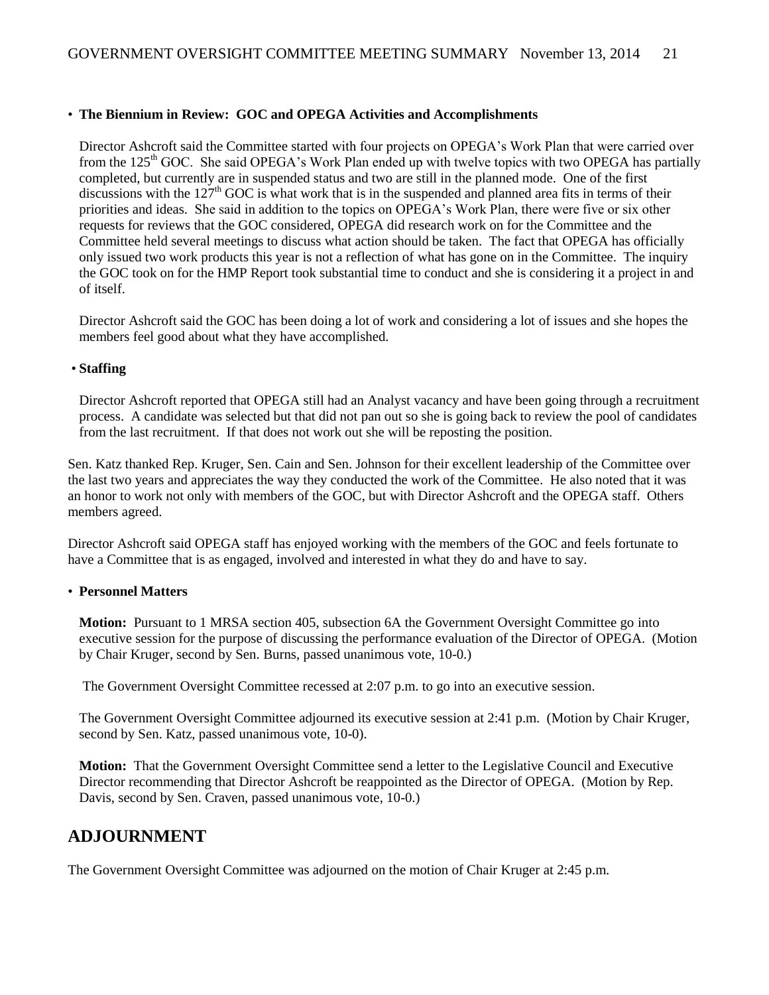#### • **The Biennium in Review: GOC and OPEGA Activities and Accomplishments**

Director Ashcroft said the Committee started with four projects on OPEGA's Work Plan that were carried over from the  $125<sup>th</sup>$  GOC. She said OPEGA's Work Plan ended up with twelve topics with two OPEGA has partially completed, but currently are in suspended status and two are still in the planned mode. One of the first discussions with the  $127<sup>th</sup>$  GOC is what work that is in the suspended and planned area fits in terms of their priorities and ideas. She said in addition to the topics on OPEGA's Work Plan, there were five or six other requests for reviews that the GOC considered, OPEGA did research work on for the Committee and the Committee held several meetings to discuss what action should be taken. The fact that OPEGA has officially only issued two work products this year is not a reflection of what has gone on in the Committee. The inquiry the GOC took on for the HMP Report took substantial time to conduct and she is considering it a project in and of itself.

Director Ashcroft said the GOC has been doing a lot of work and considering a lot of issues and she hopes the members feel good about what they have accomplished.

#### • **Staffing**

Director Ashcroft reported that OPEGA still had an Analyst vacancy and have been going through a recruitment process. A candidate was selected but that did not pan out so she is going back to review the pool of candidates from the last recruitment. If that does not work out she will be reposting the position.

Sen. Katz thanked Rep. Kruger, Sen. Cain and Sen. Johnson for their excellent leadership of the Committee over the last two years and appreciates the way they conducted the work of the Committee. He also noted that it was an honor to work not only with members of the GOC, but with Director Ashcroft and the OPEGA staff. Others members agreed.

Director Ashcroft said OPEGA staff has enjoyed working with the members of the GOC and feels fortunate to have a Committee that is as engaged, involved and interested in what they do and have to say.

#### • **Personnel Matters**

**Motion:** Pursuant to 1 MRSA section 405, subsection 6A the Government Oversight Committee go into executive session for the purpose of discussing the performance evaluation of the Director of OPEGA. (Motion by Chair Kruger, second by Sen. Burns, passed unanimous vote, 10-0.)

The Government Oversight Committee recessed at 2:07 p.m. to go into an executive session.

The Government Oversight Committee adjourned its executive session at 2:41 p.m. (Motion by Chair Kruger, second by Sen. Katz, passed unanimous vote, 10-0).

**Motion:** That the Government Oversight Committee send a letter to the Legislative Council and Executive Director recommending that Director Ashcroft be reappointed as the Director of OPEGA. (Motion by Rep. Davis, second by Sen. Craven, passed unanimous vote, 10-0.)

### **ADJOURNMENT**

The Government Oversight Committee was adjourned on the motion of Chair Kruger at 2:45 p.m.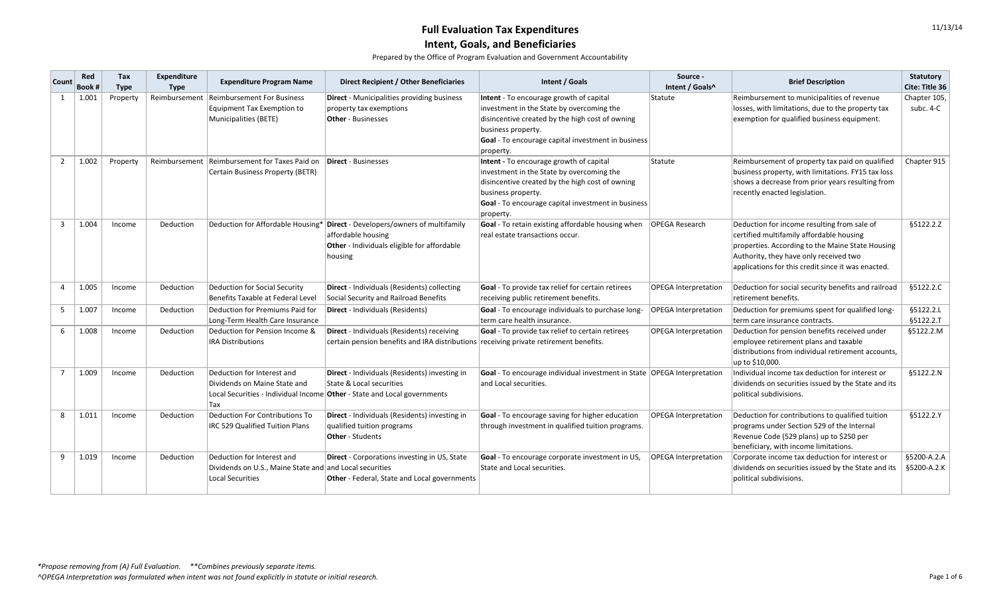| <b>Count</b>   | Red<br>Book # | Tax<br><b>Type</b> | Expenditure<br><b>Type</b> | <b>Expenditure Program Name</b>                                                                           | <b>Direct Recipient / Other Beneficiaries</b>                                                                                                               | Intent / Goals                                                                                                                                                                                                                   | Source -<br>Intent / Goals^ | <b>Brief Description</b>                                                                                                                                                                                                                    | <b>Statutory</b><br>Cite: Title 36 |
|----------------|---------------|--------------------|----------------------------|-----------------------------------------------------------------------------------------------------------|-------------------------------------------------------------------------------------------------------------------------------------------------------------|----------------------------------------------------------------------------------------------------------------------------------------------------------------------------------------------------------------------------------|-----------------------------|---------------------------------------------------------------------------------------------------------------------------------------------------------------------------------------------------------------------------------------------|------------------------------------|
|                | 1.001         | Property           | Reimbursement              | <b>Reimbursement For Business</b><br><b>Equipment Tax Exemption to</b><br>Municipalities (BETE)           | <b>Direct</b> - Municipalities providing business<br>property tax exemptions<br><b>Other</b> - Businesses                                                   | Intent - To encourage growth of capital<br>investment in the State by overcoming the<br>disincentive created by the high cost of owning<br>business property.<br>Goal - To encourage capital investment in business<br>property. | Statute                     | Reimbursement to municipalities of revenue<br>losses, with limitations, due to the property tax<br>exemption for qualified business equipment.                                                                                              | Chapter 105,<br>subc. 4-C          |
| $\overline{2}$ | 1.002         | Property           | Reimbursement              | Reimbursement for Taxes Paid on<br><b>Certain Business Property (BETR)</b>                                | Direct - Businesses                                                                                                                                         | Intent - To encourage growth of capital<br>investment in the State by overcoming the<br>disincentive created by the high cost of owning<br>business property.<br>Goal - To encourage capital investment in business<br>property. | Statute                     | Reimbursement of property tax paid on qualified<br>business property, with limitations. FY15 tax loss<br>shows a decrease from prior years resulting from<br>recently enacted legislation.                                                  | Chapter 915                        |
| 3              | 1.004         | Income             | Deduction                  |                                                                                                           | Deduction for Affordable Housing* Direct - Developers/owners of multifamily<br>affordable housing<br>Other - Individuals eligible for affordable<br>housing | Goal - To retain existing affordable housing when<br>real estate transactions occur.                                                                                                                                             | <b>OPEGA Research</b>       | Deduction for income resulting from sale of<br>certified multifamily affordable housing<br>properties. According to the Maine State Housing<br>Authority, they have only received two<br>applications for this credit since it was enacted. | §5122.2.Z                          |
|                | 1.005         | Income             | Deduction                  | <b>Deduction for Social Security</b><br>Benefits Taxable at Federal Level                                 | Direct - Individuals (Residents) collecting<br>Social Security and Railroad Benefits                                                                        | Goal - To provide tax relief for certain retirees<br>receiving public retirement benefits.                                                                                                                                       | <b>OPEGA Interpretation</b> | Deduction for social security benefits and railroad<br>retirement benefits.                                                                                                                                                                 | §5122.2.C                          |
| 5 <sub>1</sub> | 1.007         | Income             | Deduction                  | Deduction for Premiums Paid for<br>Long-Term Health Care Insurance                                        | Direct - Individuals (Residents)                                                                                                                            | Goal - To encourage individuals to purchase long-<br>term care health insurance.                                                                                                                                                 | <b>OPEGA Interpretation</b> | Deduction for premiums spent for qualified long-<br>term care insurance contracts.                                                                                                                                                          | §5122.2.L<br>§5122.2.T             |
| 6              | 1.008         | Income             | Deduction                  | Deduction for Pension Income &<br><b>IRA Distributions</b>                                                | Direct - Individuals (Residents) receiving<br>certain pension benefits and IRA distributions receiving private retirement benefits.                         | Goal - To provide tax relief to certain retirees                                                                                                                                                                                 | <b>OPEGA Interpretation</b> | Deduction for pension benefits received under<br>employee retirement plans and taxable<br>distributions from individual retirement accounts,<br>up to \$10,000.                                                                             | §5122.2.M                          |
|                | 1.009         | Income             | Deduction                  | Deduction for Interest and<br>Dividends on Maine State and<br>Tax                                         | Direct - Individuals (Residents) investing in<br>State & Local securities<br>Local Securities - Individual Income Other - State and Local governments       | Goal - To encourage individual investment in State   OPEGA Interpretation<br>and Local securities.                                                                                                                               |                             | Individual income tax deduction for interest or<br>dividends on securities issued by the State and its<br>political subdivisions.                                                                                                           | §5122.2.N                          |
| 8              | 1.011         | Income             | Deduction                  | <b>Deduction For Contributions To</b><br>IRC 529 Qualified Tuition Plans                                  | Direct - Individuals (Residents) investing in<br>qualified tuition programs<br><b>Other</b> - Students                                                      | Goal - To encourage saving for higher education<br>through investment in qualified tuition programs.                                                                                                                             | <b>OPEGA Interpretation</b> | Deduction for contributions to qualified tuition<br>programs under Section 529 of the Internal<br>Revenue Code (529 plans) up to \$250 per<br>beneficiary, with income limitations.                                                         | §5122.2.Y                          |
| 9              | 1.019         | Income             | Deduction                  | Deduction for Interest and<br>Dividends on U.S., Maine State and and Local securities<br>Local Securities | <b>Direct</b> - Corporations investing in US, State<br><b>Other</b> - Federal, State and Local governments                                                  | Goal - To encourage corporate investment in US,<br>State and Local securities.                                                                                                                                                   | <b>OPEGA Interpretation</b> | Corporate income tax deduction for interest or<br>dividends on securities issued by the State and its<br>political subdivisions.                                                                                                            | §5200-A.2.A<br>§5200-A.2.K         |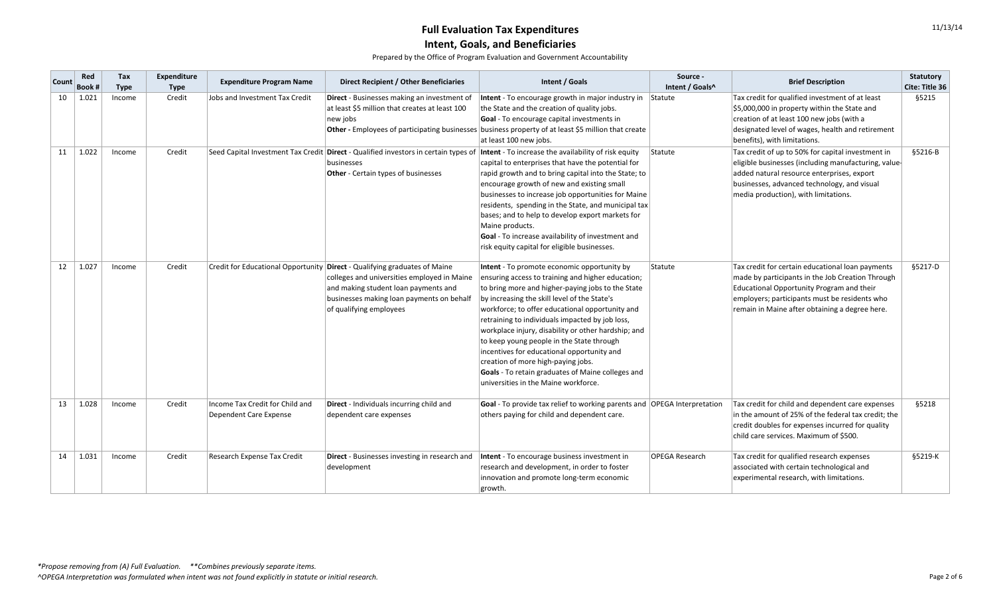| <b>Count</b> | Red<br>Book # | Tax<br><b>Type</b> | Expenditure<br><b>Type</b> | <b>Expenditure Program Name</b>                           | Direct Recipient / Other Beneficiaries                                                                                                                                                                                                   | Intent / Goals                                                                                                                                                                                                                                                                                                                                                                                                                                                                                                                                                                                   | Source -<br>Intent / Goals^ | <b>Brief Description</b>                                                                                                                                                                                                                             | <b>Statutory</b><br><b>Cite: Title 36</b> |
|--------------|---------------|--------------------|----------------------------|-----------------------------------------------------------|------------------------------------------------------------------------------------------------------------------------------------------------------------------------------------------------------------------------------------------|--------------------------------------------------------------------------------------------------------------------------------------------------------------------------------------------------------------------------------------------------------------------------------------------------------------------------------------------------------------------------------------------------------------------------------------------------------------------------------------------------------------------------------------------------------------------------------------------------|-----------------------------|------------------------------------------------------------------------------------------------------------------------------------------------------------------------------------------------------------------------------------------------------|-------------------------------------------|
| 10           | 1.021         | Income             | Credit                     | Jobs and Investment Tax Credit                            | Direct - Businesses making an investment of<br>at least \$5 million that creates at least 100<br>new jobs                                                                                                                                | Intent - To encourage growth in major industry in $\left $ Statute<br>the State and the creation of quality jobs.<br>Goal - To encourage capital investments in<br>Other - Employees of participating businesses business property of at least \$5 million that create<br>at least 100 new jobs.                                                                                                                                                                                                                                                                                                 |                             | Tax credit for qualified investment of at least<br>\$5,000,000 in property within the State and<br>creation of at least 100 new jobs (with a<br>designated level of wages, health and retirement<br>benefits), with limitations.                     | §5215                                     |
| 11           | 1.022         | Income             | Credit                     |                                                           | Seed Capital Investment Tax Credit Direct - Qualified investors in certain types of<br>businesses<br><b>Other</b> - Certain types of businesses                                                                                          | Intent - To increase the availability of risk equity<br>capital to enterprises that have the potential for<br>rapid growth and to bring capital into the State; to<br>encourage growth of new and existing small<br>businesses to increase job opportunities for Maine<br>residents, spending in the State, and municipal tax<br>bases; and to help to develop export markets for<br>Maine products.<br>Goal - To increase availability of investment and<br>risk equity capital for eligible businesses.                                                                                        | Statute                     | Tax credit of up to 50% for capital investment in<br>eligible businesses (including manufacturing, value-<br>added natural resource enterprises, export<br>businesses, advanced technology, and visual<br>media production), with limitations.       | $$5216-B$                                 |
| 12           | 1.027         | Income             | Credit                     |                                                           | Credit for Educational Opportunity Direct - Qualifying graduates of Maine<br>colleges and universities employed in Maine<br>and making student loan payments and<br>businesses making loan payments on behalf<br>of qualifying employees | Intent - To promote economic opportunity by<br>ensuring access to training and higher education;<br>to bring more and higher-paying jobs to the State<br>by increasing the skill level of the State's<br>workforce; to offer educational opportunity and<br>retraining to individuals impacted by job loss,<br>workplace injury, disability or other hardship; and<br>to keep young people in the State through<br>incentives for educational opportunity and<br>creation of more high-paying jobs.<br>Goals - To retain graduates of Maine colleges and<br>universities in the Maine workforce. | Statute                     | Tax credit for certain educational loan payments<br>made by participants in the Job Creation Through<br>Educational Opportunity Program and their<br>employers; participants must be residents who<br>remain in Maine after obtaining a degree here. | §5217-D                                   |
| 13           | 1.028         | Income             | Credit                     | Income Tax Credit for Child and<br>Dependent Care Expense | Direct - Individuals incurring child and<br>dependent care expenses                                                                                                                                                                      | Goal - To provide tax relief to working parents and OPEGA Interpretation<br>others paying for child and dependent care.                                                                                                                                                                                                                                                                                                                                                                                                                                                                          |                             | Tax credit for child and dependent care expenses<br>in the amount of 25% of the federal tax credit; the<br>credit doubles for expenses incurred for quality<br>child care services. Maximum of \$500.                                                | <b>§5218</b>                              |
| 14           | 1.031         | Income             | Credit                     | Research Expense Tax Credit                               | Direct - Businesses investing in research and<br>development                                                                                                                                                                             | Intent - To encourage business investment in<br>research and development, in order to foster<br>innovation and promote long-term economic<br>growth.                                                                                                                                                                                                                                                                                                                                                                                                                                             | <b>OPEGA Research</b>       | Tax credit for qualified research expenses<br>associated with certain technological and<br>experimental research, with limitations.                                                                                                                  | §5219-K                                   |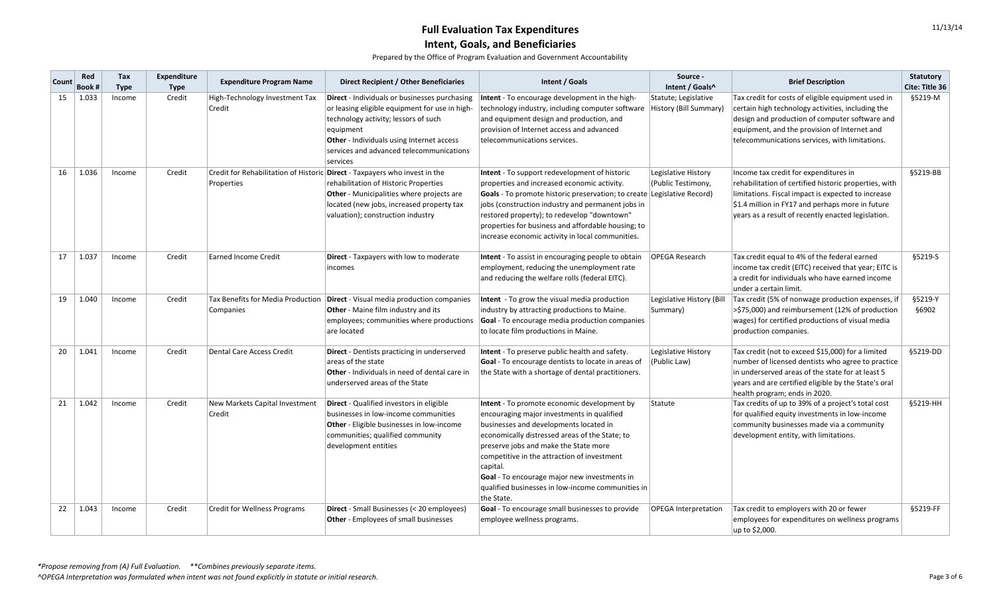| <b>Count</b> | Red<br>Book # | Tax<br><b>Type</b> | <b>Expenditure</b><br><b>Type</b> | <b>Expenditure Program Name</b>                | <b>Direct Recipient / Other Beneficiaries</b>                                                                                                                                                                                                                    | Intent / Goals                                                                                                                                                                                                                                                                                                                                                                                                      | Source -<br>Intent / Goals^                          | <b>Brief Description</b>                                                                                                                                                                                                                                               | <b>Statutory</b><br>Cite: Title 36 |
|--------------|---------------|--------------------|-----------------------------------|------------------------------------------------|------------------------------------------------------------------------------------------------------------------------------------------------------------------------------------------------------------------------------------------------------------------|---------------------------------------------------------------------------------------------------------------------------------------------------------------------------------------------------------------------------------------------------------------------------------------------------------------------------------------------------------------------------------------------------------------------|------------------------------------------------------|------------------------------------------------------------------------------------------------------------------------------------------------------------------------------------------------------------------------------------------------------------------------|------------------------------------|
| 15           | 1.033         | Income             | Credit                            | High-Technology Investment Tax<br>Credit       | Direct - Individuals or businesses purchasing<br>or leasing eligible equipment for use in high-<br>technology activity; lessors of such<br>equipment<br><b>Other</b> - Individuals using Internet access<br>services and advanced telecommunications<br>services | Intent - To encourage development in the high-<br>technology industry, including computer software<br>and equipment design and production, and<br>provision of Internet access and advanced<br>telecommunications services.                                                                                                                                                                                         | Statute; Legislative<br><b>History (Bill Summary</b> | Tax credit for costs of eligible equipment used in<br>certain high technology activities, including the<br>design and production of computer software and<br>equipment, and the provision of Internet and<br>telecommunications services, with limitations.            | §5219-M                            |
| 16           | 1.036         | Income             | Credit                            | Properties                                     | Credit for Rehabilitation of Historic Direct - Taxpayers who invest in the<br>rehabilitation of Historic Properties<br><b>Other</b> - Municipalities where projects are<br>located (new jobs, increased property tax<br>valuation); construction industry        | Intent - To support redevelopment of historic<br>properties and increased economic activity.<br><b>Goals</b> - To promote historic preservation; to create Legislative Record)<br>jobs (construction industry and permanent jobs in<br>restored property); to redevelop "downtown"<br>properties for business and affordable housing; to<br>increase economic activity in local communities.                        | Legislative History<br>(Public Testimony,            | Income tax credit for expenditures in<br>rehabilitation of certified historic properties, with<br>limitations. Fiscal impact is expected to increase<br>$\vert$ \$1.4 million in FY17 and perhaps more in future<br>years as a result of recently enacted legislation. | §5219-BB                           |
| 17           | 1.037         | Income             | Credit                            | <b>Earned Income Credit</b>                    | <b>Direct</b> - Taxpayers with low to moderate<br>incomes                                                                                                                                                                                                        | Intent - To assist in encouraging people to obtain<br>employment, reducing the unemployment rate<br>and reducing the welfare rolls (federal EITC).                                                                                                                                                                                                                                                                  | <b>OPEGA Research</b>                                | Tax credit equal to 4% of the federal earned<br>income tax credit (EITC) received that year; EITC is<br>a credit for individuals who have earned income<br>under a certain limit.                                                                                      | §5219-S                            |
| 19           | 1.040         | Income             | Credit                            | Tax Benefits for Media Production<br>Companies | <b>Direct</b> - Visual media production companies<br><b>Other</b> - Maine film industry and its<br>employees; communities where productions<br>are located                                                                                                       | Intent - To grow the visual media production<br>industry by attracting productions to Maine.<br>Goal - To encourage media production companies<br>to locate film productions in Maine.                                                                                                                                                                                                                              | Legislative History (Bill<br>Summary)                | Tax credit (5% of nonwage production expenses, if<br>>\$75,000) and reimbursement (12% of production<br>wages) for certified productions of visual media<br>production companies.                                                                                      | §5219-Y<br>§6902                   |
| 20           | 1.041         | Income             | Credit                            | <b>Dental Care Access Credit</b>               | <b>Direct</b> - Dentists practicing in underserved<br>areas of the state<br><b>Other</b> - Individuals in need of dental care in<br>underserved areas of the State                                                                                               | Intent - To preserve public health and safety.<br>Goal - To encourage dentists to locate in areas of<br>the State with a shortage of dental practitioners.                                                                                                                                                                                                                                                          | Legislative History<br>(Public Law)                  | Tax credit (not to exceed \$15,000) for a limited<br>number of licensed dentists who agree to practice<br>in underserved areas of the state for at least 5<br>years and are certified eligible by the State's oral<br>health program; ends in 2020.                    | §5219-DD                           |
| 21           | 1.042         | Income             | Credit                            | New Markets Capital Investment<br>Credit       | <b>Direct</b> - Qualified investors in eligible<br>businesses in low-income communities<br><b>Other</b> - Eligible businesses in low-income<br>communities; qualified community<br>development entities                                                          | Intent - To promote economic development by<br>encouraging major investments in qualified<br>businesses and developments located in<br>economically distressed areas of the State; to<br>preserve jobs and make the State more<br>competitive in the attraction of investment<br>capital.<br><b>Goal</b> - To encourage major new investments in<br>qualified businesses in low-income communities in<br>the State. | Statute                                              | Tax credits of up to 39% of a project's total cost<br>for qualified equity investments in low-income<br>community businesses made via a community<br>development entity, with limitations.                                                                             | §5219-HH                           |
| 22           | 1.043         | Income             | Credit                            | <b>Credit for Wellness Programs</b>            | Direct - Small Businesses (< 20 employees)<br><b>Other</b> - Employees of small businesses                                                                                                                                                                       | <b>Goal</b> - To encourage small businesses to provide<br>employee wellness programs.                                                                                                                                                                                                                                                                                                                               | <b>OPEGA Interpretation</b>                          | Tax credit to employers with 20 or fewer<br>employees for expenditures on wellness programs<br>up to \$2,000.                                                                                                                                                          | §5219-FF                           |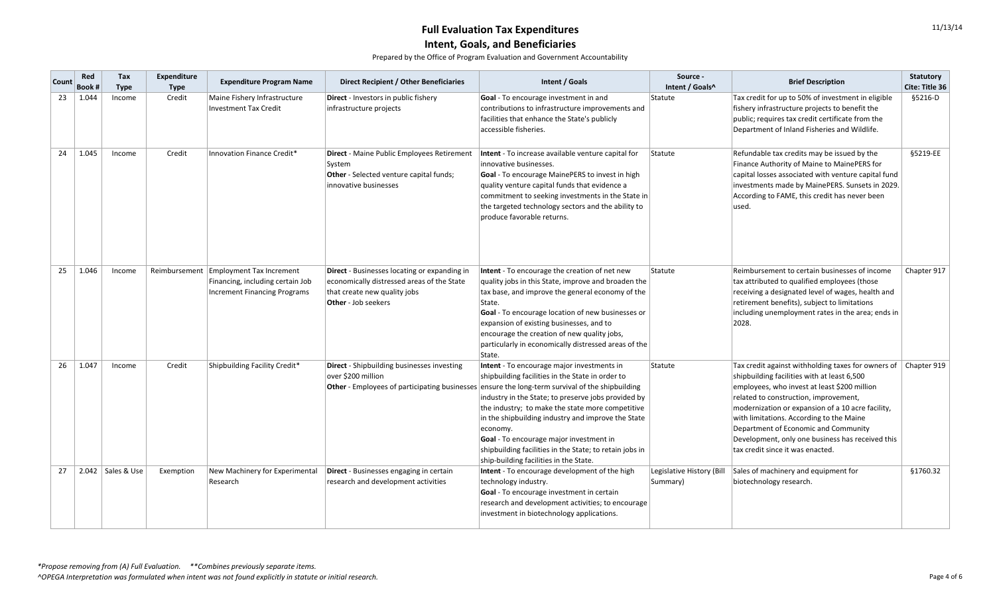| <b>Count</b> | Red<br><b>Book #</b> | Tax<br><b>Type</b>  | Expenditure<br><b>Type</b> | <b>Expenditure Program Name</b>                                                                            | Direct Recipient / Other Beneficiaries                                                                                                                   | Intent / Goals                                                                                                                                                                                                                                                                                                                                                                                                                                                                                                                               | Source -<br>Intent / Goals^           | <b>Brief Description</b>                                                                                                                                                                                                                                                                                                                                                                                                    | <b>Statutory</b><br><b>Cite: Title 36</b> |
|--------------|----------------------|---------------------|----------------------------|------------------------------------------------------------------------------------------------------------|----------------------------------------------------------------------------------------------------------------------------------------------------------|----------------------------------------------------------------------------------------------------------------------------------------------------------------------------------------------------------------------------------------------------------------------------------------------------------------------------------------------------------------------------------------------------------------------------------------------------------------------------------------------------------------------------------------------|---------------------------------------|-----------------------------------------------------------------------------------------------------------------------------------------------------------------------------------------------------------------------------------------------------------------------------------------------------------------------------------------------------------------------------------------------------------------------------|-------------------------------------------|
| 23           | 1.044                | Income              | Credit                     | Maine Fishery Infrastructure<br><b>Investment Tax Credit</b>                                               | <b>Direct</b> - Investors in public fishery<br>infrastructure projects                                                                                   | Goal - To encourage investment in and<br>contributions to infrastructure improvements and<br>facilities that enhance the State's publicly<br>accessible fisheries.                                                                                                                                                                                                                                                                                                                                                                           | Statute                               | Tax credit for up to 50% of investment in eligible<br>fishery infrastructure projects to benefit the<br>public; requires tax credit certificate from the<br>Department of Inland Fisheries and Wildlife.                                                                                                                                                                                                                    | §5216-D                                   |
| 24           | 1.045                | Income              | Credit                     | Innovation Finance Credit*                                                                                 | <b>Direct</b> - Maine Public Employees Retirement<br> System<br>Other - Selected venture capital funds;<br>innovative businesses                         | Intent - To increase available venture capital for<br>innovative businesses.<br>Goal - To encourage MainePERS to invest in high<br>quality venture capital funds that evidence a<br>commitment to seeking investments in the State in<br>the targeted technology sectors and the ability to<br>produce favorable returns.                                                                                                                                                                                                                    | Statute                               | Refundable tax credits may be issued by the<br>Finance Authority of Maine to MainePERS for<br>capital losses associated with venture capital fund<br>investments made by MainePERS. Sunsets in 2029.<br>According to FAME, this credit has never been<br>lused.                                                                                                                                                             | §5219-EE                                  |
| 25           | 1.046                | Income              | Reimbursement              | <b>Employment Tax Increment</b><br>Financing, including certain Job<br><b>Increment Financing Programs</b> | Direct - Businesses locating or expanding in<br>economically distressed areas of the State<br>that create new quality jobs<br><b>Other</b> - Job seekers | Intent - To encourage the creation of net new<br>quality jobs in this State, improve and broaden the<br>tax base, and improve the general economy of the<br>State.<br>Goal - To encourage location of new businesses or<br>expansion of existing businesses, and to<br>encourage the creation of new quality jobs,<br>particularly in economically distressed areas of the<br>State.                                                                                                                                                         | Statute                               | Reimbursement to certain businesses of income<br>tax attributed to qualified employees (those<br>receiving a designated level of wages, health and<br>retirement benefits), subject to limitations<br>including unemployment rates in the area; ends in<br>2028.                                                                                                                                                            | Chapter 917                               |
| 26           | 1.047                | Income              | Credit                     | Shipbuilding Facility Credit*                                                                              | Direct - Shipbuilding businesses investing<br>over \$200 million                                                                                         | Intent - To encourage major investments in<br>shipbuilding facilities in the State in order to<br><b>Other</b> - Employees of participating businesses ensure the long-term survival of the shipbuilding<br>industry in the State; to preserve jobs provided by<br>the industry; to make the state more competitive<br>in the shipbuilding industry and improve the State<br>economy.<br><b>Goal</b> - To encourage major investment in<br>shipbuilding facilities in the State; to retain jobs in<br>ship-building facilities in the State. | Statute                               | Tax credit against withholding taxes for owners of<br>shipbuilding facilities with at least 6,500<br>employees, who invest at least \$200 million<br>related to construction, improvement,<br>modernization or expansion of a 10 acre facility,<br>with limitations. According to the Maine<br>Department of Economic and Community<br>Development, only one business has received this<br>tax credit since it was enacted. | Chapter 919                               |
| 27           |                      | 2.042   Sales & Use | Exemption                  | New Machinery for Experimental<br>Research                                                                 | Direct - Businesses engaging in certain<br>research and development activities                                                                           | Intent - To encourage development of the high<br>technology industry.<br>Goal - To encourage investment in certain<br>research and development activities; to encourage<br>investment in biotechnology applications.                                                                                                                                                                                                                                                                                                                         | Legislative History (Bill<br>Summary) | Sales of machinery and equipment for<br>biotechnology research.                                                                                                                                                                                                                                                                                                                                                             | §1760.32                                  |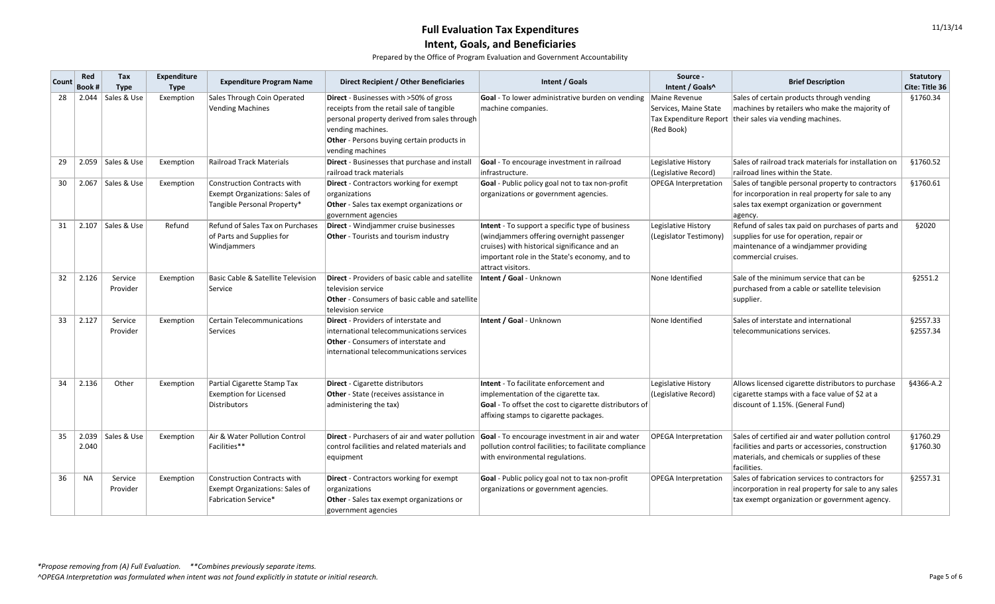| <b>Count</b> | Red<br>Book # | Tax<br><b>Type</b>  | <b>Expenditure</b><br><b>Type</b> | <b>Expenditure Program Name</b>                                                                            | <b>Direct Recipient / Other Beneficiaries</b>                                                                                                                                                                                            | Intent / Goals                                                                                                                                                                                                     | Source -<br>Intent / Goals^                                                           | <b>Brief Description</b>                                                                                                                                                | <b>Statutory</b><br><b>Cite: Title 36</b> |
|--------------|---------------|---------------------|-----------------------------------|------------------------------------------------------------------------------------------------------------|------------------------------------------------------------------------------------------------------------------------------------------------------------------------------------------------------------------------------------------|--------------------------------------------------------------------------------------------------------------------------------------------------------------------------------------------------------------------|---------------------------------------------------------------------------------------|-------------------------------------------------------------------------------------------------------------------------------------------------------------------------|-------------------------------------------|
| 28           | 2.044         | Sales & Use         | Exemption                         | Sales Through Coin Operated<br><b>Vending Machines</b>                                                     | <b>Direct</b> - Businesses with >50% of gross<br>receipts from the retail sale of tangible<br>personal property derived from sales through<br>vending machines.<br><b>Other</b> - Persons buying certain products in<br>vending machines | Goal - To lower administrative burden on vending<br>machine companies.                                                                                                                                             | Maine Revenue<br>Services, Maine State<br><b>Tax Expenditure Report</b><br>(Red Book) | Sales of certain products through vending<br>machines by retailers who make the majority of<br>$\frac{1}{1}$ their sales via vending machines.                          | §1760.34                                  |
| 29           |               | 2.059   Sales & Use | Exemption                         | <b>Railroad Track Materials</b>                                                                            | Direct - Businesses that purchase and instal<br>railroad track materials                                                                                                                                                                 | Goal - To encourage investment in railroad<br>infrastructure.                                                                                                                                                      | Legislative History<br>(Legislative Record)                                           | Sales of railroad track materials for installation on<br>railroad lines within the State.                                                                               | §1760.52                                  |
| 30           | 2.067         | Sales & Use         | Exemption                         | <b>Construction Contracts with</b><br><b>Exempt Organizations: Sales of</b><br>Tangible Personal Property* | Direct - Contractors working for exempt<br>organizations<br><b>Other</b> - Sales tax exempt organizations or<br>government agencies                                                                                                      | Goal - Public policy goal not to tax non-profit<br>organizations or government agencies.                                                                                                                           | <b>OPEGA Interpretation</b>                                                           | Sales of tangible personal property to contractors<br>for incorporation in real property for sale to any<br>sales tax exempt organization or government<br>agency.      | §1760.61                                  |
| 31           |               | 2.107   Sales & Use | Refund                            | Refund of Sales Tax on Purchases<br>of Parts and Supplies for<br>Windjammers                               | Direct - Windjammer cruise businesses<br><b>Other</b> - Tourists and tourism industry                                                                                                                                                    | Intent - To support a specific type of business<br>(windjammers offering overnight passenger<br>cruises) with historical significance and an<br>important role in the State's economy, and to<br>attract visitors. | Legislative History<br>(Legislator Testimony)                                         | Refund of sales tax paid on purchases of parts and<br>supplies for use for operation, repair or<br>maintenance of a windjammer providing<br>commercial cruises.         | §2020                                     |
| 32           | 2.126         | Service<br>Provider | Exemption                         | <b>Basic Cable &amp; Satellite Television</b><br>Service                                                   | <b>Direct</b> - Providers of basic cable and satellite<br>television service<br>Other - Consumers of basic cable and satellite<br>television service                                                                                     | Intent / Goal - Unknown                                                                                                                                                                                            | None Identified                                                                       | Sale of the minimum service that can be<br>purchased from a cable or satellite television<br>supplier.                                                                  | §2551.2                                   |
| 33           | 2.127         | Service<br>Provider | Exemption                         | <b>Certain Telecommunications</b><br>Services                                                              | <b>Direct</b> - Providers of interstate and<br>international telecommunications services<br><b>Other</b> - Consumers of interstate and<br>international telecommunications services                                                      | Intent / Goal - Unknown                                                                                                                                                                                            | None Identified                                                                       | Sales of interstate and international<br>telecommunications services.                                                                                                   | §2557.33<br>§2557.34                      |
| 34           | 2.136         | Other               | Exemption                         | Partial Cigarette Stamp Tax<br><b>Exemption for Licensed</b><br>Distributors                               | <b>Direct</b> - Cigarette distributors<br><b>Other</b> - State (receives assistance in<br>administering the tax)                                                                                                                         | Intent - To facilitate enforcement and<br>implementation of the cigarette tax.<br>Goal - To offset the cost to cigarette distributors of<br>affixing stamps to cigarette packages.                                 | Legislative History<br>(Legislative Record)                                           | Allows licensed cigarette distributors to purchase<br>cigarette stamps with a face value of \$2 at a<br>discount of 1.15%. (General Fund)                               | §4366-A.2                                 |
| 35           | 2.040         | 2.039   Sales & Use | Exemption                         | Air & Water Pollution Control<br>Facilities**                                                              | Direct - Purchasers of air and water pollution<br>control facilities and related materials and<br>equipment                                                                                                                              | Goal - To encourage investment in air and water<br>pollution control facilities; to facilitate compliance<br>with environmental regulations.                                                                       | <b>OPEGA Interpretation</b>                                                           | Sales of certified air and water pollution control<br>facilities and parts or accessories, construction<br>materials, and chemicals or supplies of these<br>facilities. | §1760.29<br>§1760.30                      |
| 36           | <b>NA</b>     | Service<br>Provider | Exemption                         | <b>Construction Contracts with</b><br><b>Exempt Organizations: Sales of</b><br><b>Fabrication Service*</b> | <b>Direct</b> - Contractors working for exempt<br>organizations<br>Other - Sales tax exempt organizations or<br>government agencies                                                                                                      | Goal - Public policy goal not to tax non-profit<br>organizations or government agencies.                                                                                                                           | <b>OPEGA Interpretation</b>                                                           | Sales of fabrication services to contractors for<br>incorporation in real property for sale to any sales<br>tax exempt organization or government agency.               | §2557.31                                  |